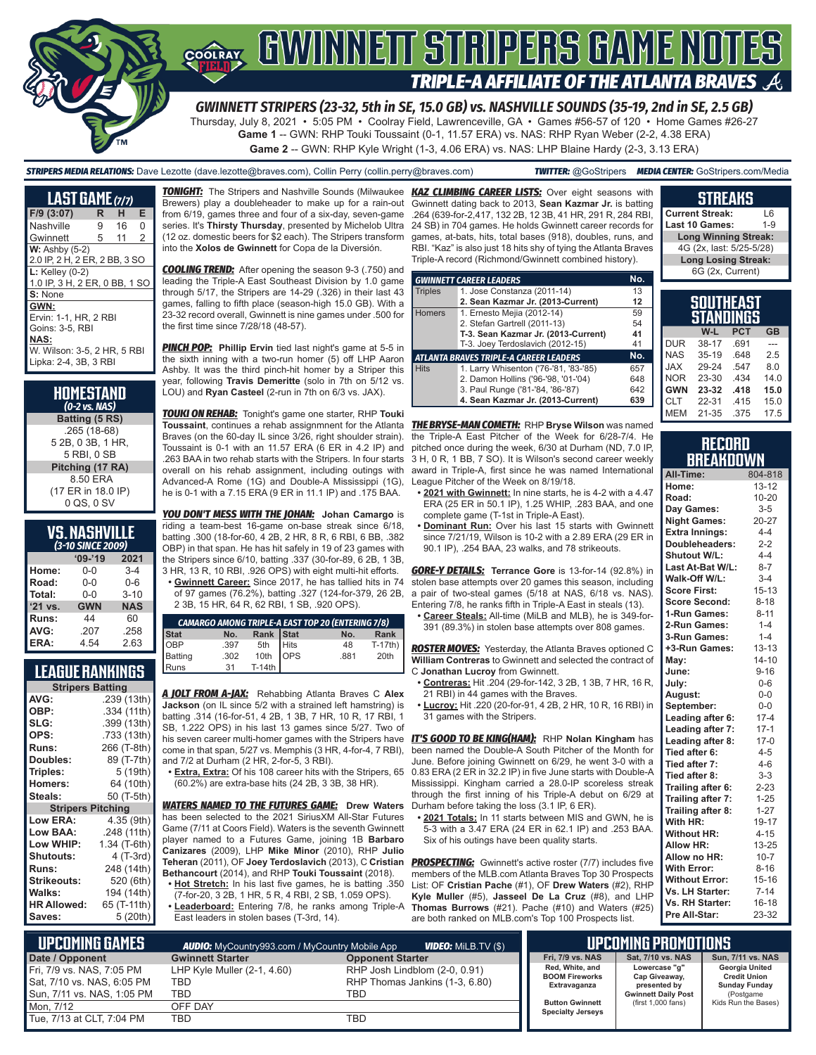

## GWINNEIT STRIPERS GAME NOT **TRIPLE-A AFFILIATE OF THE ATLANTA BRAVES**

*GWINNETT STRIPERS (23-32, 5th in SE, 15.0 GB) vs. NASHVILLE SOUNDS (35-19, 2nd in SE, 2.5 GB)* Thursday, July 8, 2021 • 5:05 PM • Coolray Field, Lawrenceville, GA • Games #56-57 of 120 • Home Games #26-27

**Game 1** -- GWN: RHP Touki Toussaint (0-1, 11.57 ERA) vs. NAS: RHP Ryan Weber (2-2, 4.38 ERA) **Game 2** -- GWN: RHP Kyle Wright (1-3, 4.06 ERA) vs. NAS: LHP Blaine Hardy (2-3, 3.13 ERA)

*STRIPERS MEDIA RELATIONS:* Dave Lezotte (dave.lezotte@braves.com), Collin Perry (collin.perry@braves.com) *TWITTER:* @GoStripers *MEDIA CENTER:* GoStripers.com/Media

| LAST GAME (7/7)                                                                                                         |   |    |                |  |  |  |  |  |  |
|-------------------------------------------------------------------------------------------------------------------------|---|----|----------------|--|--|--|--|--|--|
| $F/9$ (3:07)                                                                                                            | R | н  | Е              |  |  |  |  |  |  |
| Nashville                                                                                                               | 9 | 16 | 0              |  |  |  |  |  |  |
| Gwinnett                                                                                                                | 5 | 11 | $\overline{2}$ |  |  |  |  |  |  |
| $W:$ Ashby $(5-2)$<br>2.0 IP, 2 H, 2 ER, 2 BB, 3 SO                                                                     |   |    |                |  |  |  |  |  |  |
| $L:$ Kelley (0-2)<br>1.0 IP, 3 H, 2 ER, 0 BB, 1 SO<br>S: None                                                           |   |    |                |  |  |  |  |  |  |
| GWN:<br>Ervin: 1-1, HR, 2 RBI<br>Goins: 3-5, RBI<br><b>NAS:</b><br>W. Wilson: 3-5, 2 HR, 5 RBI<br>Lipka: 2-4, 3B, 3 RBI |   |    |                |  |  |  |  |  |  |

| HOMESTAND<br>(0-2 vs. NAS) |
|----------------------------|
| Batting (5 RS)             |
| .265 (18-68)               |
| 5 2B, 0 3B, 1 HR,          |
| 5 RBI, 0 SB                |
| Pitching (17 RA)           |
| 8.50 ERA                   |
| (17 ER in 18.0 IP)         |
| 0 QS, 0 SV                 |

#### **VS. NASHVILLE**

| (3-10 SINCE 2009) |            |            |  |  |  |  |  |  |
|-------------------|------------|------------|--|--|--|--|--|--|
|                   | $'09-'19$  | 2021       |  |  |  |  |  |  |
| Home:             | 0-0        | $3 - 4$    |  |  |  |  |  |  |
| Road:             | $0 - 0$    | $0 - 6$    |  |  |  |  |  |  |
| Total:            | $0 - 0$    | $3 - 10$   |  |  |  |  |  |  |
| $'21$ vs.         | <b>GWN</b> | <b>NAS</b> |  |  |  |  |  |  |
| Runs:             | 44         | 60         |  |  |  |  |  |  |
| AVG:              | .207       | .258       |  |  |  |  |  |  |
| ERA:              | 4.54       | 2.63       |  |  |  |  |  |  |

#### **LEAGUE RANKINGS**

| <b>Stripers Batting</b>  |              |  |  |  |  |  |  |
|--------------------------|--------------|--|--|--|--|--|--|
| AVG:                     | .239 (13th)  |  |  |  |  |  |  |
| OBP:                     | .334 (11th)  |  |  |  |  |  |  |
| SLG:                     | .399 (13th)  |  |  |  |  |  |  |
| OPS:                     | .733 (13th)  |  |  |  |  |  |  |
| <b>Runs:</b>             | 266 (T-8th)  |  |  |  |  |  |  |
| Doubles:                 | 89 (T-7th)   |  |  |  |  |  |  |
| Triples:                 | 5 (19th)     |  |  |  |  |  |  |
| <b>Homers:</b>           | 64 (10th)    |  |  |  |  |  |  |
| Steals:                  | 50 (T-5th)   |  |  |  |  |  |  |
| <b>Stripers Pitching</b> |              |  |  |  |  |  |  |
| <b>Low ERA:</b>          | 4.35 (9th)   |  |  |  |  |  |  |
| <b>Low BAA:</b>          | .248 (11th)  |  |  |  |  |  |  |
| Low WHIP:                | 1.34 (T-6th) |  |  |  |  |  |  |
| <b>Shutouts:</b>         | 4 (T-3rd)    |  |  |  |  |  |  |
| <b>Runs:</b>             | 248 (14th)   |  |  |  |  |  |  |
| Strikeouts:              | 520 (6th)    |  |  |  |  |  |  |
| Walks:                   | 194 (14th)   |  |  |  |  |  |  |
| <b>HR Allowed:</b>       | 65 (T-11th)  |  |  |  |  |  |  |
| Saves:                   | 5 (20th)     |  |  |  |  |  |  |

Brewers) play a doubleheader to make up for a rain-out from 6/19, games three and four of a six-day, seven-game series. It's **Thirsty Thursday**, presented by Michelob Ultra (12 oz. domestic beers for \$2 each). The Stripers transform into the **Xolos de Gwinnett** for Copa de la Diversión.

*COOLING TREND:* After opening the season 9-3 (.750) and leading the Triple-A East Southeast Division by 1.0 game through 5/17, the Stripers are 14-29 (.326) in their last 43 games, falling to fifth place (season-high 15.0 GB). With a 23-32 record overall, Gwinnett is nine games under .500 for the first time since 7/28/18 (48-57).

*PINCH POP:* **Phillip Ervin** tied last night's game at 5-5 in the sixth inning with a two-run homer (5) off LHP Aaron Ashby. It was the third pinch-hit homer by a Striper this year, following **Travis Demeritte** (solo in 7th on 5/12 vs. LOU) and **Ryan Casteel** (2-run in 7th on 6/3 vs. JAX).

*TOUKI ON REHAB:* Tonight's game one starter, RHP **Touki Toussaint**, continues a rehab assignmnent for the Atlanta *THE BRYSE-MAN COMETH:* RHP **Bryse Wilson** was named Braves (on the 60-day IL since 3/26, right shoulder strain). Toussaint is 0-1 with an 11.57 ERA (6 ER in 4.2 IP) and pitched once during the week, 6/30 at Durham (ND, 7.0 IP, .263 BAA in two rehab starts with the Stripers. In four starts overall on his rehab assignment, including outings with Advanced-A Rome (1G) and Double-A Mississippi (1G), he is 0-1 with a 7.15 ERA (9 ER in 11.1 IP) and .175 BAA.

*YOU DON'T MESS WITH THE JOHAN:* **Johan Camargo** is riding a team-best 16-game on-base streak since 6/18, batting .300 (18-for-60, 4 2B, 2 HR, 8 R, 6 RBI, 6 BB, .382 OBP) in that span. He has hit safely in 19 of 23 games with the Stripers since 6/10, batting .337 (30-for-89, 6 2B, 1 3B, 3 HR, 13 R, 10 RBI, .926 OPS) with eight multi-hit efforts.

**• Gwinnett Career:** Since 2017, he has tallied hits in 74 of 97 games (76.2%), batting .327 (124-for-379, 26 2B, 2 3B, 15 HR, 64 R, 62 RBI, 1 SB, .920 OPS).

|                                |      |                 | <b>CAMARGO AMONG TRIPLE-A EAST TOP 20 (ENTERING 7/8)</b> |          |
|--------------------------------|------|-----------------|----------------------------------------------------------|----------|
|                                | No.  | Rank Stat       | No.                                                      | Rank     |
|                                | .397 | 5th<br>10th OPS | 48                                                       | $T-17th$ |
|                                | .302 |                 | .881                                                     | 20th     |
| Stat<br>OBP<br>Batting<br>Runs | 31   | $T-14th$        |                                                          |          |

*A JOLT FROM A-JAX:* Rehabbing Atlanta Braves C **Alex Jackson** (on IL since 5/2 with a strained left hamstring) is batting .314 (16-for-51, 4 2B, 1 3B, 7 HR, 10 R, 17 RBI, 1 SB, 1.222 OPS) in his last 13 games since 5/27. Two of his seven career multi-homer games with the Stripers have come in that span, 5/27 vs. Memphis (3 HR, 4-for-4, 7 RBI), and 7/2 at Durham (2 HR, 2-for-5, 3 RBI).

**• Extra, Extra:** Of his 108 career hits with the Stripers, 65 (60.2%) are extra-base hits (24 2B, 3 3B, 38 HR).

*WATERS NAMED TO THE FUTURES GAME:* **Drew Waters** has been selected to the 2021 SiriusXM All-Star Futures Game (7/11 at Coors Field). Waters is the seventh Gwinnett player named to a Futures Game, joining 1B **Barbaro Canizares** (2009), LHP **Mike Minor** (2010), RHP **Julio Teheran** (2011), OF **Joey Terdoslavich** (2013), C **Cristian**  *PROSPECTING:* Gwinnett's active roster (7/7) includes five **Bethancourt** (2014), and RHP **Touki Toussaint** (2018).

- **• Hot Stretch:** In his last five games, he is batting .350 (7-for-20, 3 2B, 1 HR, 5 R, 4 RBI, 2 SB, 1.059 OPS).
- **• Leaderboard:** Entering 7/8, he ranks among Triple-A East leaders in stolen bases (T-3rd, 14).

*TONIGHT:* The Stripers and Nashville Sounds (Milwaukee *KAZ CLIMBING CAREER LISTS:* Over eight seasons with Gwinnett dating back to 2013, **Sean Kazmar Jr.** is batting .264 (639-for-2,417, 132 2B, 12 3B, 41 HR, 291 R, 284 RBI, 24 SB) in 704 games. He holds Gwinnett career records for games, at-bats, hits, total bases (918), doubles, runs, and RBI. "Kaz" is also just 18 hits shy of tying the Atlanta Braves Triple-A record (Richmond/Gwinnett combined history).

|                | <b>GWINNETT CAREER LEADERS</b>         | No. |
|----------------|----------------------------------------|-----|
| <b>Triples</b> | 1. Jose Constanza (2011-14)            | 13  |
|                | 2. Sean Kazmar Jr. (2013-Current)      | 12  |
| <b>Homers</b>  | 1. Ernesto Mejia (2012-14)             | 59  |
|                | 2. Stefan Gartrell (2011-13)           | 54  |
|                | T-3. Sean Kazmar Jr. (2013-Current)    | 41  |
|                | T-3. Joey Terdoslavich (2012-15)       | 41  |
|                | ATLANTA BRAVES TRIPLE-A CAREER LEADERS | No. |
| <b>Hits</b>    | 1. Larry Whisenton ('76-'81, '83-'85)  | 657 |
|                | 2. Damon Hollins ('96-'98, '01-'04)    | 648 |
|                | 3. Paul Runge ('81-'84, '86-'87)       | 642 |
|                | 4. Sean Kazmar Jr. (2013-Current)      | 639 |

the Triple-A East Pitcher of the Week for 6/28-7/4. He 3 H, 0 R, 1 BB, 7 SO). It is Wilson's second career weekly award in Triple-A, first since he was named International League Pitcher of the Week on 8/19/18.

- **• 2021 with Gwinnett:** In nine starts, he is 4-2 with a 4.47 ERA (25 ER in 50.1 IP), 1.25 WHIP, .283 BAA, and one complete game (T-1st in Triple-A East).
- **• Dominant Run:** Over his last 15 starts with Gwinnett since 7/21/19, Wilson is 10-2 with a 2.89 ERA (29 ER in 90.1 IP), .254 BAA, 23 walks, and 78 strikeouts.

*GORE-Y DETAILS:* **Terrance Gore** is 13-for-14 (92.8%) in stolen base attempts over 20 games this season, including a pair of two-steal games (5/18 at NAS, 6/18 vs. NAS). Entering 7/8, he ranks fifth in Triple-A East in steals (13).

**• Career Steals:** All-time (MiLB and MLB), he is 349-for-391 (89.3%) in stolen base attempts over 808 games.

*ROSTER MOVES:* Yesterday, the Atlanta Braves optioned C **William Contreras** to Gwinnett and selected the contract of C **Jonathan Lucroy** from Gwinnett.

- **• Contreras:** Hit .204 (29-for-142, 3 2B, 1 3B, 7 HR, 16 R, 21 RBI) in 44 games with the Braves.
- **• Lucroy:** Hit .220 (20-for-91, 4 2B, 2 HR, 10 R, 16 RBI) in 31 games with the Stripers.

*IT'S GOOD TO BE KING(HAM):* RHP Nolan Kingham has been named the Double-A South Pitcher of the Month for June. Before joining Gwinnett on 6/29, he went 3-0 with a 0.83 ERA (2 ER in 32.2 IP) in five June starts with Double-A Mississippi. Kingham carried a 28.0-IP scoreless streak through the first inning of his Triple-A debut on 6/29 at Durham before taking the loss (3.1 IP, 6 ER).

**• 2021 Totals:** In 11 starts between MIS and GWN, he is 5-3 with a 3.47 ERA (24 ER in 62.1 IP) and .253 BAA. Six of his outings have been quality starts.

members of the MLB.com Atlanta Braves Top 30 Prospects List: OF **Cristian Pache** (#1), OF **Drew Waters** (#2), RHP **Kyle Muller** (#5), **Jasseel De La Cruz** (#8), and LHP **Thomas Burrows** (#21). Pache (#10) and Waters (#25) are both ranked on MLB.com's Top 100 Prospects list.

| Last 10 Games:                       |            | 1-9 |
|--------------------------------------|------------|-----|
| <b>Long Winning Streak:</b>          |            |     |
| 4G (2x, last: 5/25-5/28)             |            |     |
| <b>Long Losing Streak:</b>           |            |     |
| 6G (2x, Current)                     |            |     |
|                                      |            |     |
|                                      |            |     |
| <b>SOUTHEAST</b><br><b>STANDINGS</b> |            |     |
| W-L                                  | <b>PCT</b> | GB  |

**STREAKS Current Streak:** L6

|            | W-L       | <b>PCT</b> | <b>GB</b> |
|------------|-----------|------------|-----------|
| <b>DUR</b> | 38-17     | .691       |           |
| <b>NAS</b> | $35 - 19$ | .648       | 2.5       |
| <b>JAX</b> | 29-24     | .547       | 8.0       |
| <b>NOR</b> | 23-30     | .434       | 14.0      |
| <b>GWN</b> | 23-32     | .418       | 15.0      |
| <b>CLT</b> | 22-31     | .415       | 15.0      |
| MEM        | $21 - 35$ | .375       | 17.5      |
|            |           |            |           |

#### **RECORD RRFAKNOWN**

| All-Time:             | 804-818   |
|-----------------------|-----------|
| Home:                 | $13 - 12$ |
| Road:                 | $10 - 20$ |
| Day Games:            | $3 - 5$   |
| <b>Night Games:</b>   | 20-27     |
| Extra Innings:        | $4 - 4$   |
| Doubleheaders:        | $2 - 2$   |
| Shutout W/L:          | $4 - 4$   |
| Last At-Bat W/L:      | $8 - 7$   |
| Walk-Off W/L:         | $3 - 4$   |
| <b>Score First:</b>   | $15 - 13$ |
| Score Second:         | $8 - 18$  |
| 1-Run Games:          | $8 - 11$  |
| 2-Run Games:          | $1 - 4$   |
| 3-Run Games:          | $1 - 4$   |
| +3-Run Games:         | $13 - 13$ |
| May:                  | $14 - 10$ |
| June:                 | $9 - 16$  |
| July:                 | $0-6$     |
| August:               | $0-0$     |
| September:            | $0-0$     |
| Leading after 6:      | $17 - 4$  |
| Leading after 7:      | $17 - 1$  |
| Leading after 8:      | $17-0$    |
| Tied after 6:         | $4 - 5$   |
| Tied after 7:         | $4 - 6$   |
| Tied after 8:         | $3-3$     |
| Trailing after 6:     | $2 - 23$  |
| Trailing after 7:     | $1 - 25$  |
| Trailing after 8:     | $1 - 27$  |
| With HR:              | 19-17     |
| <b>Without HR:</b>    | $4 - 15$  |
| Allow HR:             | 13-25     |
| Allow no HR:          | $10 - 7$  |
| With Error:           | $8 - 16$  |
| <b>Without Error:</b> | 15-16     |
| Vs. LH Starter:       | $7-14$    |
| Vs. RH Starter:       | $16 - 18$ |
| Pre All-Star:         | 23-32     |

| <b>UPCOMING GAMES</b>      | <b>AUDIO:</b> MyCountry993.com / MyCountry Mobile App |                                | I UPCOMING PROMOTIONS I                            |                               |                                             |
|----------------------------|-------------------------------------------------------|--------------------------------|----------------------------------------------------|-------------------------------|---------------------------------------------|
| Date / Opponent            | <b>Gwinnett Starter</b>                               | <b>Opponent Starter</b>        | <b>Fri. 7/9 vs. NAS</b>                            | Sat. 7/10 vs. NAS             | Sun, 7/11 vs. NAS                           |
| Fri, 7/9 vs. NAS, 7:05 PM  | LHP Kyle Muller (2-1, 4.60)                           | RHP Josh Lindblom (2-0, 0.91)  | Red, White, and                                    | Lowercase "g"                 | Georgia United                              |
| Sat, 7/10 vs. NAS, 6:05 PM | TBD                                                   | RHP Thomas Jankins (1-3, 6.80) | <b>BOOM Fireworks</b><br>Extravaganza              | Cap Giveaway,<br>presented by | <b>Credit Union</b><br><b>Sunday Funday</b> |
| Sun, 7/11 vs. NAS, 1:05 PM | TBD                                                   | TBD                            |                                                    | <b>Gwinnett Daily Post</b>    | (Postgame)                                  |
| Mon. 7/12                  | OFF DAY                                               |                                | <b>Button Gwinnett</b><br><b>Specialty Jerseys</b> | (first 1,000 fans)            | Kids Run the Bases)                         |
| Tue, 7/13 at CLT, 7:04 PM  | TBD                                                   | TBD                            |                                                    |                               |                                             |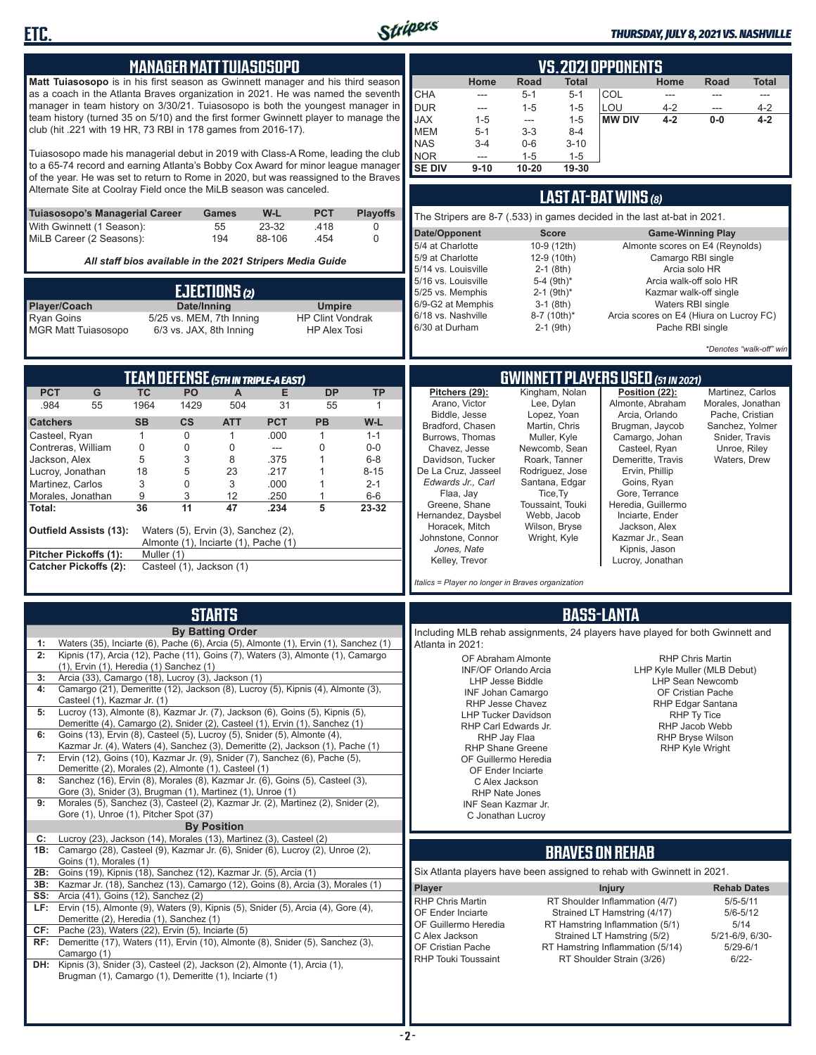

**ETC.**

#### *THURSDAY, JULY 8, 2021 VS. NASHVILLE*

|                                                                                                                                                               |                   |                          |                                      | <b>MANAGER MATT TUIASOSOPO</b>           |                                                           |                  | <b>VS.2021 OPPONENTS</b>                                                                                |                                                   |                      |                                |                                                                               |                          |                                              |                              |
|---------------------------------------------------------------------------------------------------------------------------------------------------------------|-------------------|--------------------------|--------------------------------------|------------------------------------------|-----------------------------------------------------------|------------------|---------------------------------------------------------------------------------------------------------|---------------------------------------------------|----------------------|--------------------------------|-------------------------------------------------------------------------------|--------------------------|----------------------------------------------|------------------------------|
| Matt Tuiasosopo is in his first season as Gwinnett manager and his third season                                                                               |                   |                          |                                      |                                          |                                                           |                  |                                                                                                         | Home                                              | Road                 | Total                          |                                                                               | Home                     | Road                                         | <b>Total</b>                 |
| as a coach in the Atlanta Braves organization in 2021. He was named the seventh                                                                               |                   |                          |                                      |                                          |                                                           |                  | <b>CHA</b>                                                                                              | ---                                               | $5 - 1$              | $5 - 1$                        | COL                                                                           | $\overline{\phantom{a}}$ | ---                                          | ---                          |
| manager in team history on 3/30/21. Tuiasosopo is both the youngest manager in                                                                                |                   |                          |                                      |                                          |                                                           |                  | <b>DUR</b>                                                                                              | ---                                               | $1 - 5$              | $1 - 5$                        | LOU                                                                           | $4 - 2$                  | $-$                                          | $4 - 2$                      |
| team history (turned 35 on 5/10) and the first former Gwinnett player to manage the                                                                           |                   |                          |                                      |                                          |                                                           |                  | <b>JAX</b>                                                                                              | $1 - 5$                                           | $\sim$               | $1 - 5$                        | <b>MW DIV</b>                                                                 | $4 - 2$                  | $0-0$                                        | $4 - 2$                      |
| club (hit .221 with 19 HR, 73 RBI in 178 games from 2016-17).                                                                                                 |                   |                          |                                      |                                          |                                                           |                  | <b>MEM</b>                                                                                              | $5 - 1$                                           | $3 - 3$              | $8 - 4$                        |                                                                               |                          |                                              |                              |
| Tuiasosopo made his managerial debut in 2019 with Class-A Rome, leading the club                                                                              |                   |                          |                                      |                                          |                                                           |                  | <b>NAS</b>                                                                                              | $3 - 4$                                           | $0 - 6$              | $3 - 10$                       |                                                                               |                          |                                              |                              |
| to a 65-74 record and earning Atlanta's Bobby Cox Award for minor league manager                                                                              |                   |                          |                                      |                                          |                                                           |                  | NOR<br><b>SE DIV</b>                                                                                    | ---<br>$9 - 10$                                   | $1 - 5$<br>$10 - 20$ | $1 - 5$<br>19-30               |                                                                               |                          |                                              |                              |
| of the year. He was set to return to Rome in 2020, but was reassigned to the Braves                                                                           |                   |                          |                                      |                                          |                                                           |                  |                                                                                                         |                                                   |                      |                                |                                                                               |                          |                                              |                              |
| Alternate Site at Coolray Field once the MiLB season was canceled.                                                                                            |                   |                          |                                      |                                          |                                                           |                  |                                                                                                         |                                                   |                      |                                |                                                                               |                          |                                              |                              |
| Tuiasosopo's Managerial Career                                                                                                                                |                   |                          | Games                                | W-L                                      | <b>PCT</b>                                                | <b>Playoffs</b>  | <b>LAST AT-BAT WINS (8)</b><br>The Stripers are 8-7 (.533) in games decided in the last at-bat in 2021. |                                                   |                      |                                |                                                                               |                          |                                              |                              |
| With Gwinnett (1 Season):                                                                                                                                     |                   |                          | 55                                   | 23-32                                    | .418                                                      | 0                |                                                                                                         |                                                   |                      |                                |                                                                               |                          |                                              |                              |
| MiLB Career (2 Seasons):                                                                                                                                      |                   |                          | 194                                  | 88-106                                   | .454                                                      | $\Omega$         | Date/Opponent                                                                                           |                                                   |                      | <b>Score</b>                   |                                                                               |                          | <b>Game-Winning Play</b>                     |                              |
|                                                                                                                                                               |                   |                          |                                      |                                          |                                                           |                  | 5/4 at Charlotte<br>5/9 at Charlotte                                                                    |                                                   |                      | 10-9 (12th)<br>12-9 (10th)     |                                                                               | Camargo RBI single       | Almonte scores on E4 (Reynolds)              |                              |
|                                                                                                                                                               |                   |                          |                                      |                                          | All staff bios available in the 2021 Stripers Media Guide |                  | 5/14 vs. Louisville                                                                                     |                                                   |                      | $2-1$ (8th)                    |                                                                               | Arcia solo HR            |                                              |                              |
|                                                                                                                                                               |                   |                          |                                      |                                          |                                                           |                  | 5/16 vs. Louisville                                                                                     |                                                   |                      | 5-4 (9th)*                     |                                                                               |                          | Arcia walk-off solo HR                       |                              |
|                                                                                                                                                               |                   |                          | <b>EJECTIONS</b> (2)                 |                                          |                                                           |                  | 5/25 vs. Memphis                                                                                        |                                                   |                      | $2-1$ (9th)*                   |                                                                               |                          | Kazmar walk-off single                       |                              |
| Player/Coach                                                                                                                                                  |                   | Date/Inning              |                                      |                                          | <b>Umpire</b>                                             |                  | 6/9-G2 at Memphis                                                                                       |                                                   |                      | $3-1$ (8th)                    |                                                                               | Waters RBI single        |                                              |                              |
| <b>Ryan Goins</b>                                                                                                                                             |                   |                          | 5/25 vs. MEM, 7th Inning             |                                          | <b>HP Clint Vondrak</b>                                   |                  | 6/18 vs. Nashville<br>6/30 at Durham                                                                    |                                                   |                      | 8-7 (10th)*<br>$2-1$ (9th)     |                                                                               | Pache RBI single         | Arcia scores on E4 (Hiura on Lucroy FC)      |                              |
| <b>MGR Matt Tuiasosopo</b>                                                                                                                                    |                   |                          | 6/3 vs. JAX, 8th Inning              |                                          | <b>HP Alex Tosi</b>                                       |                  |                                                                                                         |                                                   |                      |                                |                                                                               |                          |                                              |                              |
|                                                                                                                                                               |                   |                          |                                      |                                          |                                                           |                  |                                                                                                         |                                                   |                      |                                |                                                                               |                          |                                              | *Denotes "walk-off" win      |
|                                                                                                                                                               |                   |                          |                                      |                                          |                                                           |                  |                                                                                                         |                                                   |                      |                                |                                                                               |                          |                                              |                              |
| <b>PCT</b>                                                                                                                                                    | <b>TC</b>         | PO                       |                                      | TEAM DEFENSE (5TH IN TRIPLE-A EAST)<br>E | <b>DP</b>                                                 | <b>TP</b>        |                                                                                                         |                                                   |                      | Kingham, Nolan                 | <b>GWINNETT PLAYERS USED (51 IN 2021)</b>                                     |                          |                                              |                              |
| G<br>.984<br>55                                                                                                                                               | 1964              | 1429                     | $\overline{A}$<br>504                | 31                                       | 55                                                        | $\mathbf{1}$     |                                                                                                         | Pitchers (29):<br>Arano, Victor                   |                      | Lee, Dylan                     | Position (22):<br>Almonte, Abraham                                            |                          | Morales, Jonathan                            | Martinez, Carlos             |
|                                                                                                                                                               |                   |                          |                                      |                                          |                                                           |                  |                                                                                                         | Biddle, Jesse                                     |                      | Lopez, Yoan                    | Arcia, Orlando                                                                |                          |                                              | Pache, Cristian              |
| <b>Catchers</b>                                                                                                                                               | <b>SB</b>         | $\mathsf{cs}$            | <b>ATT</b>                           | <b>PCT</b>                               | <b>PB</b>                                                 | W-L              |                                                                                                         | Bradford, Chasen                                  |                      | Martin, Chris                  | Brugman, Jaycob                                                               |                          | Sanchez, Yolmer                              |                              |
| Casteel, Ryan<br>Contreras, William                                                                                                                           | $\mathbf{1}$<br>0 | $\mathbf 0$<br>0         | $\mathbf{1}$<br>0                    | .000<br>$\overline{\phantom{a}}$         | $\mathbf{1}$<br>$\mathbf 0$                               | $1 - 1$<br>$0-0$ |                                                                                                         | Burrows, Thomas                                   |                      | Muller, Kyle                   | Camargo, Johan                                                                |                          |                                              | Snider, Travis               |
| Jackson, Alex                                                                                                                                                 | 5                 | 3                        | 8                                    | .375                                     | $\mathbf{1}$                                              | $6 - 8$          |                                                                                                         | Chavez, Jesse<br>Davidson, Tucker                 |                      | Newcomb, Sean<br>Roark, Tanner | Casteel, Ryan<br>Demeritte, Travis                                            |                          |                                              | Unroe, Riley<br>Waters, Drew |
| Lucroy, Jonathan                                                                                                                                              | 18                | 5                        | 23                                   | .217                                     | $\mathbf{1}$                                              | $8 - 15$         |                                                                                                         | De La Cruz, Jasseel                               |                      | Rodriguez, Jose                | Ervin, Phillip                                                                |                          |                                              |                              |
| Martinez, Carlos                                                                                                                                              | 3                 | 0                        | 3                                    | .000                                     | 1                                                         | $2 - 1$          |                                                                                                         | Edwards Jr., Carl                                 |                      | Santana, Edgar                 | Goins, Ryan                                                                   |                          |                                              |                              |
| Morales, Jonathan                                                                                                                                             | 9                 | 3                        | 12                                   | .250                                     | 1                                                         | $6-6$            |                                                                                                         | Flaa, Jay                                         |                      | Tice, Ty                       | Gore, Terrance                                                                |                          |                                              |                              |
| Total:                                                                                                                                                        | 36                | 11                       | 47                                   | .234                                     | 5                                                         | 23-32            |                                                                                                         | Greene, Shane                                     |                      | Toussaint, Touki               | Heredia, Guillermo                                                            |                          |                                              |                              |
|                                                                                                                                                               |                   |                          |                                      |                                          |                                                           |                  |                                                                                                         | Hernandez, Daysbel<br>Horacek, Mitch              |                      | Webb, Jacob<br>Wilson, Bryse   | Inciarte, Ender<br>Jackson, Alex                                              |                          |                                              |                              |
| Outfield Assists (13):                                                                                                                                        |                   |                          | Waters (5), Ervin (3), Sanchez (2),  |                                          |                                                           |                  |                                                                                                         | Johnstone, Connor                                 |                      | Wright, Kyle                   | Kazmar Jr., Sean                                                              |                          |                                              |                              |
| Pitcher Pickoffs (1):                                                                                                                                         | Muller (1)        |                          | Almonte (1), Inciarte (1), Pache (1) |                                          |                                                           |                  |                                                                                                         | Jones, Nate                                       |                      |                                | Kipnis, Jason                                                                 |                          |                                              |                              |
| <b>Catcher Pickoffs (2):</b>                                                                                                                                  |                   | Casteel (1), Jackson (1) |                                      |                                          |                                                           |                  |                                                                                                         | Kelley, Trevor                                    |                      |                                | Lucroy, Jonathan                                                              |                          |                                              |                              |
|                                                                                                                                                               |                   |                          |                                      |                                          |                                                           |                  |                                                                                                         | Italics = Player no longer in Braves organization |                      |                                |                                                                               |                          |                                              |                              |
|                                                                                                                                                               |                   |                          |                                      |                                          |                                                           |                  |                                                                                                         |                                                   |                      |                                |                                                                               |                          |                                              |                              |
|                                                                                                                                                               |                   |                          | <b>STARTS</b>                        |                                          |                                                           |                  |                                                                                                         |                                                   |                      |                                | <b>BASS-LANTA</b>                                                             |                          |                                              |                              |
|                                                                                                                                                               |                   |                          | <b>By Batting Order</b>              |                                          |                                                           |                  |                                                                                                         |                                                   |                      |                                | Including MLB rehab assignments, 24 players have played for both Gwinnett and |                          |                                              |                              |
| Waters (35), Inciarte (6), Pache (6), Arcia (5), Almonte (1), Ervin (1), Sanchez (1)<br>1:                                                                    |                   |                          |                                      |                                          |                                                           |                  | Atlanta in 2021:                                                                                        |                                                   |                      |                                |                                                                               |                          |                                              |                              |
| 2:<br>Kipnis (17), Arcia (12), Pache (11), Goins (7), Waters (3), Almonte (1), Camargo<br>$(1)$ , Ervin $(1)$ , Heredia $(1)$ Sanchez $(1)$                   |                   |                          |                                      |                                          |                                                           |                  |                                                                                                         | OF Abraham Almonte                                |                      |                                |                                                                               |                          | <b>RHP Chris Martin</b>                      |                              |
| Arcia (33), Camargo (18), Lucroy (3), Jackson (1)<br>3:                                                                                                       |                   |                          |                                      |                                          |                                                           |                  |                                                                                                         | <b>INF/OF Orlando Arcia</b>                       |                      |                                |                                                                               |                          | LHP Kyle Muller (MLB Debut)                  |                              |
| Camargo (21), Demeritte (12), Jackson (8), Lucroy (5), Kipnis (4), Almonte (3),<br>4:                                                                         |                   |                          |                                      |                                          |                                                           |                  |                                                                                                         | LHP Jesse Biddle<br><b>INF Johan Camargo</b>      |                      |                                |                                                                               |                          | <b>LHP Sean Newcomb</b><br>OF Cristian Pache |                              |
| Casteel (1), Kazmar Jr. (1)                                                                                                                                   |                   |                          |                                      |                                          |                                                           |                  |                                                                                                         | RHP Jesse Chavez                                  |                      |                                |                                                                               |                          | RHP Edgar Santana                            |                              |
| Lucroy (13), Almonte (8), Kazmar Jr. (7), Jackson (6), Goins (5), Kipnis (5),<br>5:                                                                           |                   |                          |                                      |                                          |                                                           |                  |                                                                                                         | <b>LHP Tucker Davidson</b>                        |                      |                                |                                                                               |                          | RHP Ty Tice                                  |                              |
| Demeritte (4), Camargo (2), Snider (2), Casteel (1), Ervin (1), Sanchez (1)<br>Goins (13), Ervin (8), Casteel (5), Lucroy (5), Snider (5), Almonte (4),<br>6: |                   |                          |                                      |                                          |                                                           |                  |                                                                                                         | RHP Carl Edwards Jr.                              |                      |                                |                                                                               |                          | RHP Jacob Webb                               |                              |
| Kazmar Jr. (4), Waters (4), Sanchez (3), Demeritte (2), Jackson (1), Pache (1)                                                                                |                   |                          |                                      |                                          |                                                           |                  |                                                                                                         | <b>RHP Shane Greene</b>                           | RHP Jay Flaa         |                                |                                                                               |                          | RHP Bryse Wilson<br><b>RHP Kyle Wright</b>   |                              |
| Ervin (12), Goins (10), Kazmar Jr. (9), Snider (7), Sanchez (6), Pache (5),<br>7:                                                                             |                   |                          |                                      |                                          |                                                           |                  |                                                                                                         | OF Guillermo Heredia                              |                      |                                |                                                                               |                          |                                              |                              |
| Demeritte (2), Morales (2), Almonte (1), Casteel (1)                                                                                                          |                   |                          |                                      |                                          |                                                           |                  |                                                                                                         | OF Ender Inciarte                                 |                      |                                |                                                                               |                          |                                              |                              |
| Sanchez (16), Ervin (8), Morales (8), Kazmar Jr. (6), Goins (5), Casteel (3),<br>8:                                                                           |                   |                          |                                      |                                          |                                                           |                  |                                                                                                         | C Alex Jackson                                    |                      |                                |                                                                               |                          |                                              |                              |
| Gore (3), Snider (3), Brugman (1), Martinez (1), Unroe (1)                                                                                                    |                   |                          |                                      |                                          |                                                           |                  |                                                                                                         | RHP Nate Jones                                    |                      |                                |                                                                               |                          |                                              |                              |
| Morales (5), Sanchez (3), Casteel (2), Kazmar Jr. (2), Martinez (2), Snider (2),<br>9:<br>Gore (1), Unroe (1), Pitcher Spot (37)                              |                   |                          |                                      |                                          |                                                           |                  |                                                                                                         | INF Sean Kazmar Jr.<br>C Jonathan Lucroy          |                      |                                |                                                                               |                          |                                              |                              |
|                                                                                                                                                               |                   |                          | <b>By Position</b>                   |                                          |                                                           |                  |                                                                                                         |                                                   |                      |                                |                                                                               |                          |                                              |                              |
| Lucroy (23), Jackson (14), Morales (13), Martinez (3), Casteel (2)<br>C:                                                                                      |                   |                          |                                      |                                          |                                                           |                  |                                                                                                         |                                                   |                      |                                |                                                                               |                          |                                              |                              |
| 1B: Camargo (28), Casteel (9), Kazmar Jr. (6), Snider (6), Lucroy (2), Unroe (2),                                                                             |                   |                          |                                      |                                          |                                                           |                  |                                                                                                         |                                                   |                      |                                | <b>BRAVES ON REHAB</b>                                                        |                          |                                              |                              |
| Goins (1), Morales (1)<br>2B: Goins (19), Kipnis (18), Sanchez (12), Kazmar Jr. (5), Arcia (1)                                                                |                   |                          |                                      |                                          |                                                           |                  |                                                                                                         |                                                   |                      |                                | Six Atlanta players have been assigned to rehab with Gwinnett in 2021.        |                          |                                              |                              |
| 3B: Kazmar Jr. (18), Sanchez (13), Camargo (12), Goins (8), Arcia (3), Morales (1)                                                                            |                   |                          |                                      |                                          |                                                           |                  |                                                                                                         |                                                   |                      |                                |                                                                               |                          |                                              |                              |
| Arcia (41), Goins (12), Sanchez (2)<br>SS:                                                                                                                    |                   |                          |                                      |                                          |                                                           |                  | Player                                                                                                  |                                                   |                      |                                | <b>Injury</b>                                                                 |                          | <b>Rehab Dates</b>                           |                              |
| LF: Ervin (15), Almonte (9), Waters (9), Kipnis (5), Snider (5), Arcia (4), Gore (4),                                                                         |                   |                          |                                      |                                          |                                                           |                  | <b>RHP Chris Martin</b><br>OF Ender Inciarte                                                            |                                                   |                      |                                | RT Shoulder Inflammation (4/7)<br>Strained LT Hamstring (4/17)                |                          | $5/5 - 5/11$                                 |                              |
| Demeritte (2), Heredia (1), Sanchez (1)                                                                                                                       |                   |                          |                                      |                                          |                                                           |                  |                                                                                                         | OF Guillermo Heredia                              |                      |                                | RT Hamstring Inflammation (5/1)                                               |                          | $5/6 - 5/12$<br>5/14                         |                              |
| $CF:$ Pache (23), Waters (22), Ervin (5), Inciarte (5)                                                                                                        |                   |                          |                                      |                                          |                                                           |                  | C Alex Jackson                                                                                          |                                                   |                      |                                | Strained LT Hamstring (5/2)                                                   |                          | 5/21-6/9, 6/30-                              |                              |
| RF: Demeritte (17), Waters (11), Ervin (10), Almonte (8), Snider (5), Sanchez (3),                                                                            |                   |                          |                                      |                                          |                                                           |                  | OF Cristian Pache                                                                                       |                                                   |                      |                                | RT Hamstring Inflammation (5/14)                                              |                          | $5/29 - 6/1$                                 |                              |
| Camargo (1)<br>DH: Kipnis (3), Snider (3), Casteel (2), Jackson (2), Almonte (1), Arcia (1),                                                                  |                   |                          |                                      |                                          |                                                           |                  |                                                                                                         | <b>RHP Touki Toussaint</b>                        |                      |                                | RT Shoulder Strain (3/26)                                                     |                          | $6/22 -$                                     |                              |
| Brugman (1), Camargo (1), Demeritte (1), Inciarte (1)                                                                                                         |                   |                          |                                      |                                          |                                                           |                  |                                                                                                         |                                                   |                      |                                |                                                                               |                          |                                              |                              |
|                                                                                                                                                               |                   |                          |                                      |                                          |                                                           |                  |                                                                                                         |                                                   |                      |                                |                                                                               |                          |                                              |                              |
|                                                                                                                                                               |                   |                          |                                      |                                          |                                                           |                  |                                                                                                         |                                                   |                      |                                |                                                                               |                          |                                              |                              |
|                                                                                                                                                               |                   |                          |                                      |                                          |                                                           |                  |                                                                                                         |                                                   |                      |                                |                                                                               |                          |                                              |                              |
|                                                                                                                                                               |                   |                          |                                      |                                          |                                                           |                  |                                                                                                         |                                                   |                      |                                |                                                                               |                          |                                              |                              |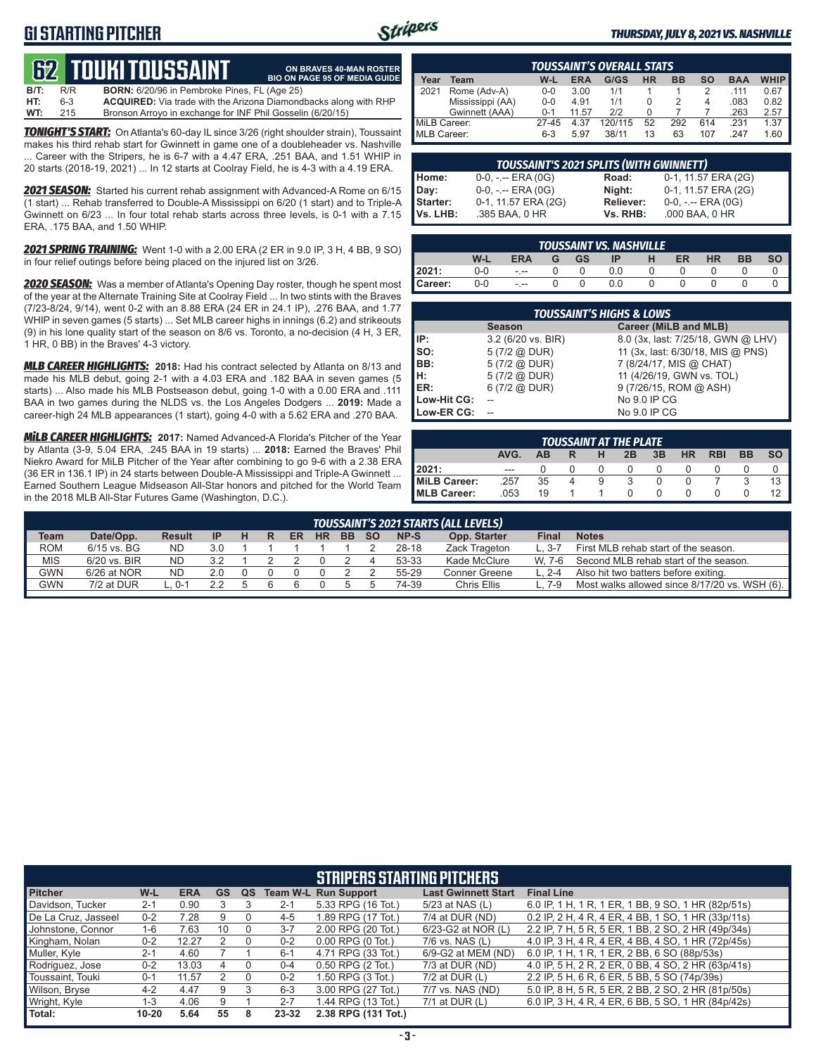#### **G1 STARTING PITCHER**



**ON BRAVES 40-MAN ROSTER**

#### *THURSDAY, JULY 8, 2021 VS. NASHVILLE*

### **62****touki toussaint**

**B/T:** R/R **BORN:** 6/20/96 in Pembroke Pines, FL (Age 25)<br>**HT:** 6-3 **ACQUIRED:** Via trade with the Arizona Diamond **ACQUIRED:** Via trade with the Arizona Diamondbacks along with RHP **WT:** 215 Bronson Arroyo in exchange for INF Phil Gosselin (6/20/15) **BIO ON PAGE 95 OF MEDIA GUIDE**

*TONIGHT'S START:* On Atlanta's 60-day IL since 3/26 (right shoulder strain), Toussaint makes his third rehab start for Gwinnett in game one of a doubleheader vs. Nashville ... Career with the Stripers, he is 6-7 with a 4.47 ERA, .251 BAA, and 1.51 WHIP in 20 starts (2018-19, 2021) ... In 12 starts at Coolray Field, he is 4-3 with a 4.19 ERA.

*2021 SEASON:* Started his current rehab assignment with Advanced-A Rome on 6/15 (1 start) ... Rehab transferred to Double-A Mississippi on 6/20 (1 start) and to Triple-A Gwinnett on 6/23 ... In four total rehab starts across three levels, is 0-1 with a 7.15 ERA, .175 BAA, and 1.50 WHIP.

*2021 SPRING TRAINING:* Went 1-0 with a 2.00 ERA (2 ER in 9.0 IP, 3 H, 4 BB, 9 SO) in four relief outings before being placed on the injured list on 3/26.

*2020 SEASON:* Was a member of Atlanta's Opening Day roster, though he spent most of the year at the Alternate Training Site at Coolray Field ... In two stints with the Braves (7/23-8/24, 9/14), went 0-2 with an 8.88 ERA (24 ER in 24.1 IP), .276 BAA, and 1.77 WHIP in seven games (5 starts) ... Set MLB career highs in innings (6.2) and strikeouts (9) in his lone quality start of the season on 8/6 vs. Toronto, a no-decision (4 H, 3 ER, 1 HR, 0 BB) in the Braves' 4-3 victory.

*MLB CAREER HIGHLIGHTS:* **2018:** Had his contract selected by Atlanta on 8/13 and made his MLB debut, going 2-1 with a 4.03 ERA and .182 BAA in seven games (5 starts) ... Also made his MLB Postseason debut, going 1-0 with a 0.00 ERA and .111 BAA in two games during the NLDS vs. the Los Angeles Dodgers ... **2019:** Made a career-high 24 MLB appearances (1 start), going 4-0 with a 5.62 ERA and .270 BAA.

*MiLB CAREER HIGHLIGHTS:* **2017:** Named Advanced-A Florida's Pitcher of the Year by Atlanta (3-9, 5.04 ERA, .245 BAA in 19 starts) ... **2018:** Earned the Braves' Phil Niekro Award for MiLB Pitcher of the Year after combining to go 9-6 with a 2.38 ERA (36 ER in 136.1 IP) in 24 starts between Double-A Mississippi and Triple-A Gwinnett ... Earned Southern League Midseason All-Star honors and pitched for the World Team in the 2018 MLB All-Star Futures Game (Washington, D.C.).

| <b>TOUSSAINT'S OVERALL STATS.</b> |                  |         |       |         |    |           |           |            |             |
|-----------------------------------|------------------|---------|-------|---------|----|-----------|-----------|------------|-------------|
| Year                              | Геаm             | W-L     | ERA   | G/GS    | HR | <b>BB</b> | <b>SO</b> | <b>BAA</b> | <b>WHIP</b> |
| 2021                              | Rome (Adv-A)     | $0 - 0$ | 3.00  | 1/1     |    |           | 2         | 111        | 0.67        |
|                                   | Mississippi (AA) | $0 - 0$ | 4.91  | 1/1     |    |           | 4         | .083       | 0.82        |
|                                   | Gwinnett (AAA)   | $0 - 1$ | 11.57 | 212     |    |           |           | .263       | 2.57        |
| MiLB Career:                      |                  | 27-45   | 4.37  | 120/115 | 52 | 292       | 614       | .231       | 1.37        |
| MLB Career:                       |                  | $6-3$   | 5.97  | 38/11   | 13 | 63        | 107       | 247        | .60         |

|          | <b>TOUSSAINT'S 2021 SPLITS (WITH GWINNETT)</b> |           |                       |
|----------|------------------------------------------------|-----------|-----------------------|
| Home:    | $0-0, - -$ ERA $(0G)$                          | Road:     | 0-1, 11.57 ERA (2G)   |
| Dav:     | $0-0, - -$ ERA $(0G)$                          | Night:    | 0-1, 11.57 ERA (2G)   |
| Starter: | 0-1, 11.57 ERA (2G)                            | Reliever: | $0-0, - -$ ERA $(0G)$ |
| Vs. LHB: | .385 BAA, 0 HR                                 | Vs. RHB:  | .000 BAA, 0 HR        |

| I       | TOUSSAINT VS. NASHVILLE |            |  |    |     |  |    |    |    |  |  |  |  |
|---------|-------------------------|------------|--|----|-----|--|----|----|----|--|--|--|--|
|         | W-L                     | <b>ERA</b> |  | GS | ID  |  | ER | HR | вв |  |  |  |  |
| 2021:   | 0-0                     | $- - -$    |  |    | 0.0 |  |    |    |    |  |  |  |  |
| Career: | 0-0                     | $- - -$    |  |    | 0.0 |  |    |    |    |  |  |  |  |

|             | <b>TOUSSAINT'S HIGHS &amp; LOWS</b> |                                    |
|-------------|-------------------------------------|------------------------------------|
|             | <b>Season</b>                       | Career (MiLB and MLB)              |
| IP:         | 3.2 (6/20 vs. BIR)                  | 8.0 (3x, last: 7/25/18, GWN @ LHV) |
| Iso:        | 5 (7/2 @ DUR)                       | 11 (3x, last: 6/30/18, MIS @ PNS)  |
| BB:         | 5(7/2 @ DUR)                        | 7 (8/24/17, MIS @ CHAT)            |
| IH:         | 5(7/2 @ DUR)                        | 11 (4/26/19, GWN vs. TOL)          |
| <b>IER:</b> | 6(7/2 @ DUR)                        | 9 (7/26/15, ROM @ ASH)             |
| Low-Hit CG: |                                     | No 9.0 IP CG                       |
| Low-ER CG:  |                                     | No 9.0 IP CG                       |

| <b>TOUSSAINT AT THE PLATE</b> |         |           |  |   |    |    |    |            |           |  |  |  |
|-------------------------------|---------|-----------|--|---|----|----|----|------------|-----------|--|--|--|
|                               | AVG.    | <b>AB</b> |  |   | 2B | 3B | HR | <b>RBI</b> | <b>BB</b> |  |  |  |
| 12021:                        | $- - -$ |           |  |   |    |    |    |            |           |  |  |  |
| MiLB Career:                  | .257    | 35        |  | 9 |    |    |    |            | 2         |  |  |  |
| MLB Career:                   | 053     | 19        |  |   |    |    |    |            |           |  |  |  |

|             | <b>TOUSSAINT'S 2021 STARTS (ALL LEVELS)</b> |               |     |  |  |    |           |           |           |       |               |        |                                               |
|-------------|---------------------------------------------|---------------|-----|--|--|----|-----------|-----------|-----------|-------|---------------|--------|-----------------------------------------------|
| <b>Team</b> | Date/Opp.                                   | <b>Result</b> | -IP |  |  | ER | <b>HR</b> | <b>BB</b> | <b>SO</b> | NP-S  | Opp. Starter  | Final  | <b>Notes</b>                                  |
| <b>ROM</b>  | 6/15 vs. BG                                 | ND.           | 3.0 |  |  |    |           |           |           | 28-18 | Zack Trageton | L. 3-. | First MLB rehab start of the season.          |
| <b>MIS</b>  | 6/20 vs. BIR                                | <b>ND</b>     | 3.2 |  |  |    |           |           |           | 53-33 | Kade McClure  | W. 7-6 | Second MLB rehab start of the season.         |
| GWN         | $6/26$ at NOR                               | ND            | 2.0 |  |  |    |           |           |           | 55-29 | Conner Greene |        | Also hit two batters before exiting.          |
| GWN         | 7/2 at DUR                                  | . 0-1         |     |  |  |    |           |           |           | 74-39 | Chris Ellis   |        | Most walks allowed since 8/17/20 vs. WSH (6). |

|                     |           |            |    |    |         | <b>STRIPERS STARTING PITCHERS</b> |                            |                                                    |
|---------------------|-----------|------------|----|----|---------|-----------------------------------|----------------------------|----------------------------------------------------|
| <b>Pitcher</b>      | W-L       | <b>ERA</b> | GS | QS |         | <b>Team W-L Run Support</b>       | <b>Last Gwinnett Start</b> | <b>Final Line</b>                                  |
| Davidson, Tucker    | $2 - 1$   | 0.90       |    |    | $2 - 1$ | 5.33 RPG (16 Tot.)                | 5/23 at NAS (L)            | 6.0 IP, 1 H, 1 R, 1 ER, 1 BB, 9 SO, 1 HR (82p/51s) |
| De La Cruz. Jasseel | $0 - 2$   | 7.28       |    |    | $4 - 5$ | 1.89 RPG (17 Tot.)                | 7/4 at DUR (ND)            | 0.2 IP, 2 H, 4 R, 4 ER, 4 BB, 1 SO, 1 HR (33p/11s) |
| Johnstone, Connor   | $1-6$     | 7.63       | 10 |    | $3 - 7$ | 2.00 RPG (20 Tot.)                | 6/23-G2 at NOR (L)         | 2.2 IP, 7 H, 5 R, 5 ER, 1 BB, 2 SO, 2 HR (49p/34s) |
| Kingham, Nolan      | $0 - 2$   | 12.27      |    |    | $0 - 2$ | $0.00$ RPG $(0$ Tot.)             | $7/6$ vs. NAS $(L)$        | 4.0 IP, 3 H, 4 R, 4 ER, 4 BB, 4 SO, 1 HR (72p/45s) |
| Muller, Kyle        | $2 - 1$   | 4.60       |    |    | $6 - 1$ | 4.71 RPG (33 Tot.)                | 6/9-G2 at MEM (ND)         | 6.0 IP, 1 H, 1 R, 1 ER, 2 BB, 6 SO (88p/53s)       |
| Rodriguez, Jose     | $0 - 2$   | 13.03      | 4  |    | $0 - 4$ | 0.50 RPG (2 Tot.)                 | $7/3$ at DUR $(ND)$        | 4.0 IP, 5 H, 2 R, 2 ER, 0 BB, 4 SO, 2 HR (63p/41s) |
| Toussaint, Touki    | $0 - 1$   | 11.57      |    | 0  | $0 - 2$ | 1.50 RPG (3 Tot.)                 | $7/2$ at DUR $(L)$         | 2.2 IP, 5 H, 6 R, 6 ER, 5 BB, 5 SO (74p/39s)       |
| Wilson, Bryse       | $4 - 2$   | 4.47       | 9  |    | $6 - 3$ | 3.00 RPG (27 Tot.)                | 7/7 vs. NAS (ND)           | 5.0 IP, 8 H, 5 R, 5 ER, 2 BB, 2 SO, 2 HR (81p/50s) |
| Wright, Kyle        | $1 - 3$   | 4.06       | 9  |    | $2 - 7$ | 1.44 RPG (13 Tot.)                | $7/1$ at DUR (L)           | 6.0 IP, 3 H, 4 R, 4 ER, 6 BB, 5 SO, 1 HR (84p/42s) |
| Total:              | $10 - 20$ | 5.64       | 55 |    | 23-32   | 2.38 RPG (131 Tot.)               |                            |                                                    |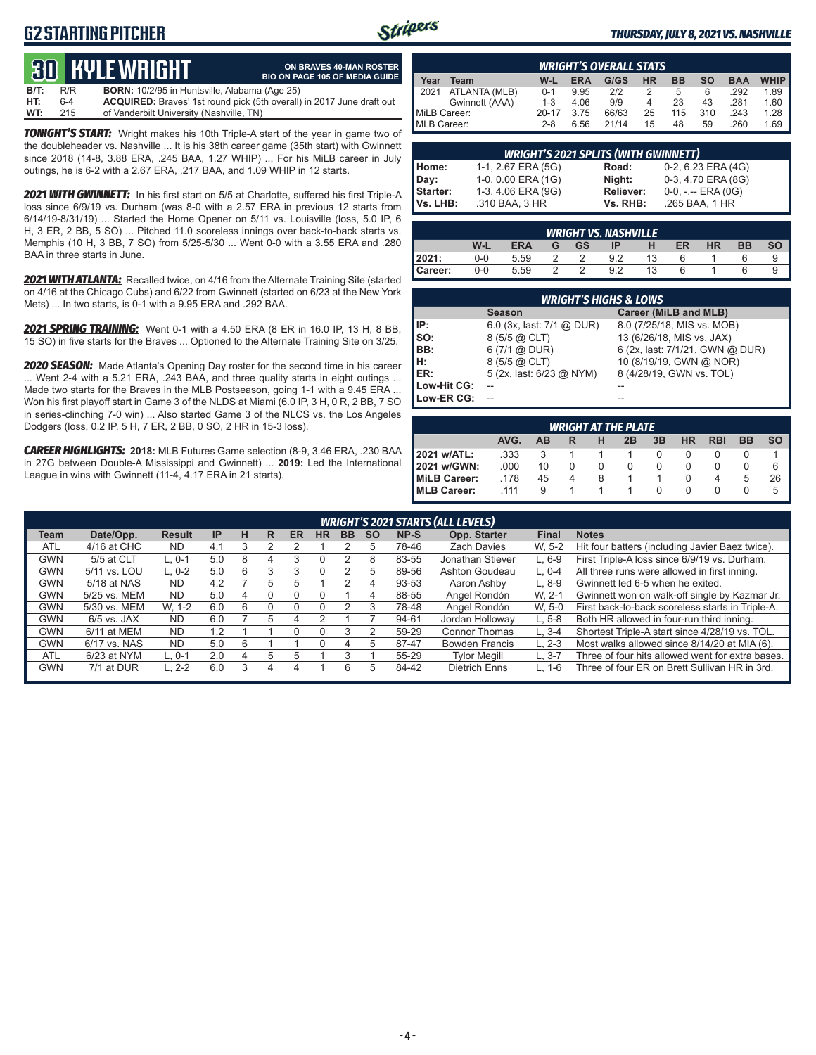### **G2 STARTING PITCHER**



**ON BRAVES 40-MAN ROSTER**

#### *THURSDAY, JULY 8, 2021 VS. NASHVILLE*

# **30 KYLE WRIGHT**

|      |     | <u>tus bible white in</u>                            | <b>BIO ON PAGE 105 OF MEDIA GUIDE</b>                                        |
|------|-----|------------------------------------------------------|------------------------------------------------------------------------------|
| B/T: | R/R | <b>BORN:</b> 10/2/95 in Huntsville, Alabama (Age 25) |                                                                              |
| HT:  | 6-4 |                                                      | <b>ACQUIRED:</b> Braves' 1st round pick (5th overall) in 2017 June draft out |
| WT:  | 215 | of Vanderbilt University (Nashville, TN)             |                                                                              |

**TONIGHT'S START:** Wright makes his 10th Triple-A start of the year in game two of the doubleheader vs. Nashville ... It is his 38th career game (35th start) with Gwinnett since 2018 (14-8, 3.88 ERA, .245 BAA, 1.27 WHIP) ... For his MiLB career in July outings, he is 6-2 with a 2.67 ERA, .217 BAA, and 1.09 WHIP in 12 starts.

*2021 WITH GWINNETT:* In his first start on 5/5 at Charlotte, suffered his first Triple-A loss since 6/9/19 vs. Durham (was 8-0 with a 2.57 ERA in previous 12 starts from 6/14/19-8/31/19) ... Started the Home Opener on 5/11 vs. Louisville (loss, 5.0 IP, 6 H, 3 ER, 2 BB, 5 SO) ... Pitched 11.0 scoreless innings over back-to-back starts vs. Memphis (10 H, 3 BB, 7 SO) from 5/25-5/30 ... Went 0-0 with a 3.55 ERA and .280 BAA in three starts in June.

*2021 WITH ATLANTA:* Recalled twice, on 4/16 from the Alternate Training Site (started on 4/16 at the Chicago Cubs) and 6/22 from Gwinnett (started on 6/23 at the New York Mets) ... In two starts, is 0-1 with a 9.95 ERA and .292 BAA.

*2021 SPRING TRAINING:* Went 0-1 with a 4.50 ERA (8 ER in 16.0 IP, 13 H, 8 BB, 15 SO) in five starts for the Braves ... Optioned to the Alternate Training Site on 3/25.

*2020 SEASON:* Made Atlanta's Opening Day roster for the second time in his career ... Went 2-4 with a 5.21 ERA, .243 BAA, and three quality starts in eight outings ... Made two starts for the Braves in the MLB Postseason, going 1-1 with a 9.45 ERA ... Won his first playoff start in Game 3 of the NLDS at Miami (6.0 IP, 3 H, 0 R, 2 BB, 7 SO in series-clinching 7-0 win) ... Also started Game 3 of the NLCS vs. the Los Angeles Dodgers (loss, 0.2 IP, 5 H, 7 ER, 2 BB, 0 SO, 2 HR in 15-3 loss).

*CAREER HIGHLIGHTS:* **2018:** MLB Futures Game selection (8-9, 3.46 ERA, .230 BAA in 27G between Double-A Mississippi and Gwinnett) ... **2019:** Led the International League in wins with Gwinnett (11-4, 4.17 ERA in 21 starts).

|              | <b>WRIGHT'S OVERALL STATS</b> |           |            |       |           |           |     |            |             |  |  |  |  |
|--------------|-------------------------------|-----------|------------|-------|-----------|-----------|-----|------------|-------------|--|--|--|--|
| Year         | Team                          | W-L       | <b>ERA</b> | G/GS  | <b>HR</b> | <b>BB</b> | so  | <b>BAA</b> | <b>WHIP</b> |  |  |  |  |
| 12021        | ATLANTA (MLB)                 | $0 - 1$   | 9.95       | 2/2   |           |           | 6   | .292       | 1.89        |  |  |  |  |
|              | Gwinnett (AAA)                | $1 - 3$   | 4.06       | 9/9   |           | 23        | 43  | .281       | 1.60        |  |  |  |  |
| MiLB Career: |                               | $20 - 17$ | 3.75       | 66/63 | 25        | 115       | 310 | .243       | 1.28        |  |  |  |  |
| MLB Career:  |                               | $2 - 8$   | 6.56       | 21/14 | 15        | 48        | 59  | .260       | 1.69        |  |  |  |  |

|          | <b>WRIGHT'S 2021 SPLITS (WITH GWINNETT)</b> |           |                       |  |  |  |  |  |  |  |  |
|----------|---------------------------------------------|-----------|-----------------------|--|--|--|--|--|--|--|--|
| Home:    | 1-1, 2.67 ERA (5G)                          | Road:     | 0-2, 6.23 ERA (4G)    |  |  |  |  |  |  |  |  |
| Day:     | 1-0, 0.00 ERA (1G)                          | Night:    | 0-3, 4.70 ERA (8G)    |  |  |  |  |  |  |  |  |
| Starter: | 1-3, 4.06 ERA (9G)                          | Reliever: | $0-0, - -$ ERA $(0G)$ |  |  |  |  |  |  |  |  |
| Vs. LHB: | .310 BAA, 3 HR                              | Vs. RHB:  | .265 BAA, 1 HR        |  |  |  |  |  |  |  |  |

| <b>WRIGHT VS. NASHVILLE</b> |     |      |   |           |     |    |    |           |           |           |  |  |
|-----------------------------|-----|------|---|-----------|-----|----|----|-----------|-----------|-----------|--|--|
|                             | W-L | ERA  | G | <b>GS</b> | IP  |    | ER | <b>HR</b> | <b>BB</b> | <b>SO</b> |  |  |
| 2021:                       | 0-0 | 5.59 |   |           | 9.2 | 13 |    |           |           |           |  |  |
| Career:                     | 0-0 | 5.59 |   |           | 9.2 | 13 | 6  |           |           |           |  |  |

|             | <b>WRIGHT'S HIGHS &amp; LOWS</b> |                                 |
|-------------|----------------------------------|---------------------------------|
|             | <b>Season</b>                    | Career (MiLB and MLB)           |
| IP:         | 6.0 $(3x, last: 7/1 @ DUR)$      | 8.0 (7/25/18, MIS vs. MOB)      |
| SO:         | 8 (5/5 @ CLT)                    | 13 (6/26/18, MIS vs. JAX)       |
| BB:         | 6(7/1 @ DUR)                     | 6 (2x, last: 7/1/21, GWN @ DUR) |
| н:          | 8 (5/5 @ CLT)                    | 10 (8/19/19, GWN @ NOR)         |
| ER:         | 5 (2x, last: 6/23 @ NYM)         | 8 (4/28/19, GWN vs. TOL)        |
| Low-Hit CG: |                                  |                                 |
| Low-ER CG:  |                                  |                                 |

| <b>WRIGHT AT THE PLATE</b> |      |           |          |              |    |    |           |            |           |   |  |
|----------------------------|------|-----------|----------|--------------|----|----|-----------|------------|-----------|---|--|
|                            | AVG. | <b>AB</b> |          | н            | 2B | 3B | <b>HR</b> | <b>RBI</b> | <b>BB</b> |   |  |
| 2021 w/ATL:                | .333 |           |          |              |    | 0  | O         |            |           |   |  |
| 2021 w/GWN:                | .000 | 10        | $\Omega$ | $\mathbf{0}$ | 0  | 0  | 0         | 0          | O         | 6 |  |
| <b>MiLB Career:</b>        | .178 | 45        | 4        | 8            |    |    | 0         | 4          | 5         |   |  |
| <b>MLB Career:</b>         | 111  | 9         |          |              |    | 0  | 0         |            |           |   |  |

|            | <b>WRIGHT'S 2021 STARTS (ALL LEVELS)</b> |               |           |   |    |           |           |           |           |       |                       |              |                                                  |
|------------|------------------------------------------|---------------|-----------|---|----|-----------|-----------|-----------|-----------|-------|-----------------------|--------------|--------------------------------------------------|
| Team       | Date/Opp.                                | <b>Result</b> | <b>IP</b> | н | R  | <b>ER</b> | <b>HR</b> | <b>BB</b> | <b>SO</b> | NP-S  | Opp. Starter          | <b>Final</b> | <b>Notes</b>                                     |
| <b>ATL</b> | 4/16 at CHC                              | <b>ND</b>     | 4.1       |   |    |           |           |           | h         | 78-46 | <b>Zach Davies</b>    | W. 5-2       | Hit four batters (including Javier Baez twice).  |
| <b>GWN</b> | 5/5 at CLT                               | L. 0-1        | 5.0       | 8 | 4  |           |           |           | 8         | 83-55 | Jonathan Stiever      | $L.6-9$      | First Triple-A loss since 6/9/19 vs. Durham.     |
| <b>GWN</b> | 5/11 vs. LOU                             | $L. 0-2$      | 5.0       | 6 | 3  | 3         | 0         |           | 5         | 89-56 | Ashton Goudeau        | $L. 0-4$     | All three runs were allowed in first inning.     |
| <b>GWN</b> | 5/18 at NAS                              | <b>ND</b>     | 4.2       |   | 5  | ٠h        |           |           |           | 93-53 | Aaron Ashby           | $L.8-9$      | Gwinnett led 6-5 when he exited.                 |
| GWN        | 5/25 vs. MEM                             | ND.           | 5.0       | 4 |    |           |           |           | 4         | 88-55 | Angel Rondón          | W. 2-1       | Gwinnett won on walk-off single by Kazmar Jr.    |
| GWN        | 5/30 vs. MEM                             | W. 1-2        | 6.0       | 6 | ი  |           | O         |           |           | 78-48 | Angel Rondón          | W. 5-0       | First back-to-back scoreless starts in Triple-A. |
| <b>GWN</b> | $6/5$ vs. JAX                            | <b>ND</b>     | 6.0       |   | ٠h | 4         |           |           |           | 94-61 | Jordan Holloway       | $L.5-8$      | Both HR allowed in four-run third inning.        |
| <b>GWN</b> | 6/11 at MEM                              | <b>ND</b>     | 1.2       |   |    |           |           | 3         |           | 59-29 | Connor Thomas         | $L.3 - 4$    | Shortest Triple-A start since 4/28/19 vs. TOL.   |
| <b>GWN</b> | 6/17 vs. NAS                             | <b>ND</b>     | 5.0       | 6 |    |           | U         | 4         | 5         | 87-47 | <b>Bowden Francis</b> | $L. 2-3$     | Most walks allowed since 8/14/20 at MIA (6).     |
| <b>ATL</b> | $6/23$ at NYM                            | L. 0-1        | 2.0       | 4 | b  | ٠h        |           |           |           | 55-29 | <b>Tylor Megill</b>   | $L.3 - 7$    | Three of four hits allowed went for extra bases. |
| <b>GWN</b> | 7/1 at DUR                               | L. 2-2        | 6.0       |   |    |           |           | 6         |           | 84-42 | Dietrich Enns         | $L. 1-6$     | Three of four ER on Brett Sullivan HR in 3rd.    |
|            |                                          |               |           |   |    |           |           |           |           |       |                       |              |                                                  |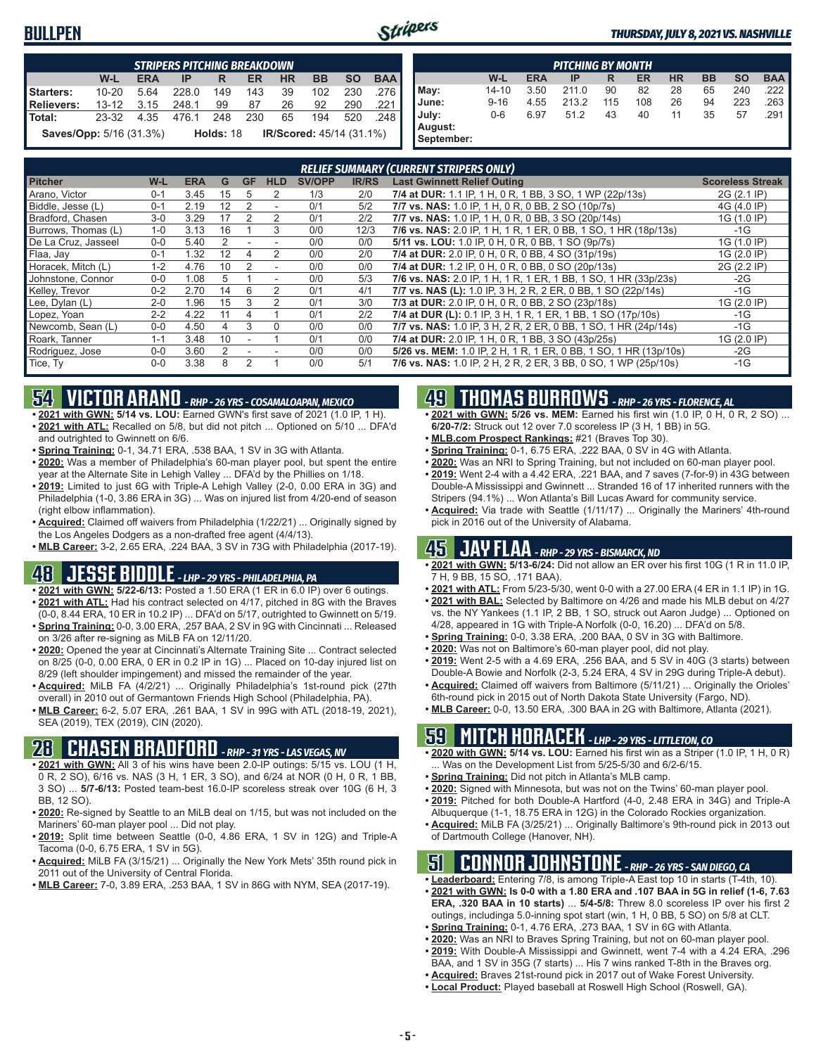#### **BULLPEN**



|                                | <b>STRIPERS PITCHING BREAKDOWN</b> |            |                                                     |     |     |           |           |           |            |  |  |
|--------------------------------|------------------------------------|------------|-----------------------------------------------------|-----|-----|-----------|-----------|-----------|------------|--|--|
|                                | W-L                                | <b>ERA</b> | IP                                                  | R   | ER  | <b>HR</b> | <b>BB</b> | <b>SO</b> | <b>BAA</b> |  |  |
| Starters:                      | $10 - 20$                          | 5.64       | 228.0                                               | 149 | 143 | 39        | 102       | 230       | 276        |  |  |
| <b>Relievers:</b>              | $13 - 12$                          | 3.15       | 248.1                                               | 99  | 87  | 26        | 92        | 290       | .221       |  |  |
| Total:                         | 23-32                              | 4.35       | 476.1                                               | 248 | 230 | 65        | 194       | 520       | 248        |  |  |
| <b>Saves/Opp:</b> 5/16 (31.3%) |                                    |            | <b>IR/Scored: 45/14 (31.1%)</b><br><b>Holds: 18</b> |     |     |           |           |           |            |  |  |

|                       | <b>PITCHING BY MONTH</b> |            |       |     |     |           |           |           |            |  |  |  |
|-----------------------|--------------------------|------------|-------|-----|-----|-----------|-----------|-----------|------------|--|--|--|
|                       | W-L                      | <b>ERA</b> | IP    | R   | ER  | <b>HR</b> | <b>BB</b> | <b>SO</b> | <b>BAA</b> |  |  |  |
| May:                  | $14 - 10$                | 3.50       | 211.0 | 90  | 82  | 28        | 65        | 240       | .222       |  |  |  |
| June:                 | $9 - 16$                 | 4.55       | 213.2 | 115 | 108 | 26        | 94        | 223       | .263       |  |  |  |
| July:                 | $0-6$                    | 6.97       | 51.2  | 43  | 40  | 11        | 35        | 57        | .291       |  |  |  |
| August:<br>September: |                          |            |       |     |     |           |           |           |            |  |  |  |

|                     | <b>RELIEF SUMMARY (CURRENT STRIPERS ONLY)</b> |            |    |           |                          |               |              |                                                                  |                         |  |  |
|---------------------|-----------------------------------------------|------------|----|-----------|--------------------------|---------------|--------------|------------------------------------------------------------------|-------------------------|--|--|
| <b>Pitcher</b>      | W-L                                           | <b>ERA</b> | G  | <b>GF</b> | <b>HLD</b>               | <b>SV/OPP</b> | <b>IR/RS</b> | <b>Last Gwinnett Relief Outing</b>                               | <b>Scoreless Streak</b> |  |  |
| Arano, Victor       | $0 - 1$                                       | 3.45       | 15 | h.        | 2                        | 1/3           | 2/0          | 7/4 at DUR: 1.1 IP, 1 H, 0 R, 1 BB, 3 SO, 1 WP (22p/13s)         | 2G (2.1 IP)             |  |  |
| Biddle, Jesse (L)   | $0 - 1$                                       | 2.19       | 12 |           | ٠                        | 0/1           | 5/2          | 7/7 vs. NAS: 1.0 IP, 1 H, 0 R, 0 BB, 2 SO (10p/7s)               | 4G (4.0 IP)             |  |  |
| Bradford, Chasen    | $3-0$                                         | 3.29       | 17 |           | 2                        | 0/1           | 2/2          | 7/7 vs. NAS: 1.0 IP, 1 H, 0 R, 0 BB, 3 SO (20p/14s)              | 1G (1.0 IP)             |  |  |
| Burrows, Thomas (L) | $1 - 0$                                       | 3.13       | 16 |           | 3                        | 0/0           | 12/3         | 7/6 vs. NAS: 2.0 IP, 1 H, 1 R, 1 ER, 0 BB, 1 SO, 1 HR (18p/13s)  | $-1G$                   |  |  |
| De La Cruz, Jasseel | $0-0$                                         | 5.40       |    |           |                          | 0/0           | 0/0          | 5/11 vs. LOU: 1.0 IP, 0 H, 0 R, 0 BB, 1 SO (9p/7s)               | 1G (1.0 IP)             |  |  |
| Flaa, Jay           | $0 - 1$                                       | 1.32       | 12 |           | 2                        | 0/0           | 2/0          | 7/4 at DUR: 2.0 IP, 0 H, 0 R, 0 BB, 4 SO (31p/19s)               | 1G (2.0 IP)             |  |  |
| Horacek, Mitch (L)  | $1 - 2$                                       | 4.76       | 10 | 2         | $\overline{\phantom{a}}$ | 0/0           | 0/0          | 7/4 at DUR: 1.2 IP, 0 H, 0 R, 0 BB, 0 SO (20p/13s)               | 2G (2.2 IP)             |  |  |
| Johnstone, Connor   | $0 - 0$                                       | 1.08       | 5  |           | $\overline{\phantom{a}}$ | 0/0           | 5/3          | 7/6 vs. NAS: 2.0 IP, 1 H, 1 R, 1 ER, 1 BB, 1 SO, 1 HR (33p/23s)  | $-2G$                   |  |  |
| Kelley, Trevor      | $0 - 2$                                       | 2.70       | 14 | 6         | 2                        | 0/1           | 4/1          | 7/7 vs. NAS (L): 1.0 IP, 3 H, 2 R, 2 ER, 0 BB, 1 SO (22p/14s)    | $-1G$                   |  |  |
| Lee, Dylan (L)      | $2 - 0$                                       | 1.96       | 15 | 3         | $\mathcal{P}$            | 0/1           | 3/0          | 7/3 at DUR: 2.0 IP, 0 H, 0 R, 0 BB, 2 SO (23p/18s)               | 1G (2.0 IP)             |  |  |
| Lopez, Yoan         | $2 - 2$                                       | 4.22       | 11 | 4         |                          | 0/1           | 2/2          | 7/4 at DUR (L): 0.1 IP, 3 H, 1 R, 1 ER, 1 BB, 1 SO (17p/10s)     | $-1G$                   |  |  |
| Newcomb, Sean (L)   | $0 - 0$                                       | 4.50       | 4  | 3         | $\Omega$                 | 0/0           | 0/0          | 7/7 vs. NAS: 1.0 IP, 3 H, 2 R, 2 ER, 0 BB, 1 SO, 1 HR (24p/14s)  | $-1G$                   |  |  |
| Roark. Tanner       | $1 - 1$                                       | 3.48       | 10 |           |                          | 0/1           | 0/0          | 7/4 at DUR: 2.0 IP, 1 H, 0 R, 1 BB, 3 SO (43p/25s)               | 1G (2.0 IP)             |  |  |
| Rodriguez, Jose     | $0 - 0$                                       | 3.60       |    |           |                          | 0/0           | 0/0          | 5/26 vs. MEM: 1.0 IP, 2 H, 1 R, 1 ER, 0 BB, 1 SO, 1 HR (13p/10s) | $-2G$                   |  |  |
| Tice, Ty            | $0 - 0$                                       | 3.38       |    | 2         |                          | 0/0           | 5/1          | 7/6 vs. NAS: 1.0 IP, 2 H, 2 R, 2 ER, 3 BB, 0 SO, 1 WP (25p/10s)  | $-1G$                   |  |  |

### **54 VICTOR ARANO** *- RHP - 26 YRS - COSAMALOAPAN, MEXICO*

- **• 2021 with GWN: 5/14 vs. LOU:** Earned GWN's first save of 2021 (1.0 IP, 1 H). **• 2021 with ATL:** Recalled on 5/8, but did not pitch ... Optioned on 5/10 ... DFA'd and outrighted to Gwinnett on 6/6.
- **• Spring Training:** 0-1, 34.71 ERA, .538 BAA, 1 SV in 3G with Atlanta.
- **• 2020:** Was a member of Philadelphia's 60-man player pool, but spent the entire year at the Alternate Site in Lehigh Valley ... DFA'd by the Phillies on 1/18.
- **• 2019:** Limited to just 6G with Triple-A Lehigh Valley (2-0, 0.00 ERA in 3G) and Philadelphia (1-0, 3.86 ERA in 3G) ... Was on injured list from 4/20-end of season (right elbow inflammation).
- **• Acquired:** Claimed off waivers from Philadelphia (1/22/21) ... Originally signed by the Los Angeles Dodgers as a non-drafted free agent (4/4/13).

**• MLB Career:** 3-2, 2.65 ERA, .224 BAA, 3 SV in 73G with Philadelphia (2017-19).

### **48 JESSE BIDDLE** *- LHP - 29 YRS - PHILADELPHIA, PA*

- **• 2021 with GWN: 5/22-6/13:** Posted a 1.50 ERA (1 ER in 6.0 IP) over 6 outings. **• 2021 with ATL:** Had his contract selected on 4/17, pitched in 8G with the Braves
- (0-0, 8.44 ERA, 10 ER in 10.2 IP) ... DFA'd on 5/17, outrighted to Gwinnett on 5/19. **• Spring Training:** 0-0, 3.00 ERA, .257 BAA, 2 SV in 9G with Cincinnati ... Released
- on 3/26 after re-signing as MiLB FA on 12/11/20. **• 2020:** Opened the year at Cincinnati's Alternate Training Site ... Contract selected
- on 8/25 (0-0, 0.00 ERA, 0 ER in 0.2 IP in 1G) ... Placed on 10-day injured list on 8/29 (left shoulder impingement) and missed the remainder of the year.
- **• Acquired:** MiLB FA (4/2/21) ... Originally Philadelphia's 1st-round pick (27th overall) in 2010 out of Germantown Friends High School (Philadelphia, PA).
- **• MLB Career:** 6-2, 5.07 ERA, .261 BAA, 1 SV in 99G with ATL (2018-19, 2021), SEA (2019), TEX (2019), CIN (2020).

### **28 CHASEN BRADFORD** *- RHP - 31 YRS - LAS VEGAS, NV*

- **• 2021 with GWN:** All 3 of his wins have been 2.0-IP outings: 5/15 vs. LOU (1 H, 0 R, 2 SO), 6/16 vs. NAS (3 H, 1 ER, 3 SO), and 6/24 at NOR (0 H, 0 R, 1 BB, 3 SO) ... **5/7-6/13:** Posted team-best 16.0-IP scoreless streak over 10G (6 H, 3 BB, 12 SO).
- **• 2020:** Re-signed by Seattle to an MiLB deal on 1/15, but was not included on the Mariners' 60-man player pool ... Did not play.
- **• 2019:** Split time between Seattle (0-0, 4.86 ERA, 1 SV in 12G) and Triple-A Tacoma (0-0, 6.75 ERA, 1 SV in 5G).
- **• Acquired:** MiLB FA (3/15/21) ... Originally the New York Mets' 35th round pick in 2011 out of the University of Central Florida.
- **• MLB Career:** 7-0, 3.89 ERA, .253 BAA, 1 SV in 86G with NYM, SEA (2017-19).

### **49 THOMAS BURROWS** *- RHP - 26 YRS - FLORENCE, AL*

- **• 2021 with GWN: 5/26 vs. MEM:** Earned his first win (1.0 IP, 0 H, 0 R, 2 SO) ... **6/20-7/2:** Struck out 12 over 7.0 scoreless IP (3 H, 1 BB) in 5G.
- **• MLB.com Prospect Rankings:** #21 (Braves Top 30).
- **• Spring Training:** 0-1, 6.75 ERA, .222 BAA, 0 SV in 4G with Atlanta.
- **• 2020:** Was an NRI to Spring Training, but not included on 60-man player pool.
- **• 2019:** Went 2-4 with a 4.42 ERA, .221 BAA, and 7 saves (7-for-9) in 43G between Double-A Mississippi and Gwinnett ... Stranded 16 of 17 inherited runners with the Stripers (94.1%) ... Won Atlanta's Bill Lucas Award for community service.
- **• Acquired:** Via trade with Seattle (1/11/17) ... Originally the Mariners' 4th-round pick in 2016 out of the University of Alabama.

#### **45 JAY FLAA** *- RHP - 29 YRS - BISMARCK, ND*

- **• 2021 with GWN: 5/13-6/24:** Did not allow an ER over his first 10G (1 R in 11.0 IP, 7 H, 9 BB, 15 SO, .171 BAA).
- **• 2021 with ATL:** From 5/23-5/30, went 0-0 with a 27.00 ERA (4 ER in 1.1 IP) in 1G.
- **• 2021 with BAL:** Selected by Baltimore on 4/26 and made his MLB debut on 4/27 vs. the NY Yankees (1.1 IP, 2 BB, 1 SO, struck out Aaron Judge) ... Optioned on 4/28, appeared in 1G with Triple-A Norfolk (0-0, 16.20) ... DFA'd on 5/8.
- **• Spring Training:** 0-0, 3.38 ERA, .200 BAA, 0 SV in 3G with Baltimore.
- **• 2020:** Was not on Baltimore's 60-man player pool, did not play.
- **• 2019:** Went 2-5 with a 4.69 ERA, .256 BAA, and 5 SV in 40G (3 starts) between Double-A Bowie and Norfolk (2-3, 5.24 ERA, 4 SV in 29G during Triple-A debut).
- **• Acquired:** Claimed off waivers from Baltimore (5/11/21) ... Originally the Orioles' 6th-round pick in 2015 out of North Dakota State University (Fargo, ND).
- **• MLB Career:** 0-0, 13.50 ERA, .300 BAA in 2G with Baltimore, Atlanta (2021).

### **59 MITCH HORACEK** *- LHP - 29 YRS - LITTLETON, CO*

- **• 2020 with GWN: 5/14 vs. LOU:** Earned his first win as a Striper (1.0 IP, 1 H, 0 R) . Was on the Development List from 5/25-5/30 and 6/2-6/15.
- **• Spring Training:** Did not pitch in Atlanta's MLB camp.
- **• 2020:** Signed with Minnesota, but was not on the Twins' 60-man player pool. **• 2019:** Pitched for both Double-A Hartford (4-0, 2.48 ERA in 34G) and Triple-A
- Albuquerque (1-1, 18.75 ERA in 12G) in the Colorado Rockies organization. **• Acquired:** MiLB FA (3/25/21) ... Originally Baltimore's 9th-round pick in 2013 out
- of Dartmouth College (Hanover, NH).

#### **51 CONNOR JOHNSTONE** *- RHP - 26 YRS - SAN DIEGO, CA*

- **• Leaderboard:** Entering 7/8, is among Triple-A East top 10 in starts (T-4th, 10).
- **• 2021 with GWN: Is 0-0 with a 1.80 ERA and .107 BAA in 5G in relief (1-6, 7.63 ERA, .320 BAA in 10 starts)** ... **5/4-5/8:** Threw 8.0 scoreless IP over his first 2 outings, includinga 5.0-inning spot start (win, 1 H, 0 BB, 5 SO) on 5/8 at CLT.
- **• Spring Training:** 0-1, 4.76 ERA, .273 BAA, 1 SV in 6G with Atlanta.
- **• 2020:** Was an NRI to Braves Spring Training, but not on 60-man player pool. **• 2019:** With Double-A Mississippi and Gwinnett, went 7-4 with a 4.24 ERA, .296
- BAA, and 1 SV in 35G (7 starts) ... His 7 wins ranked T-8th in the Braves org.
- **• Acquired:** Braves 21st-round pick in 2017 out of Wake Forest University.
- **• Local Product:** Played baseball at Roswell High School (Roswell, GA).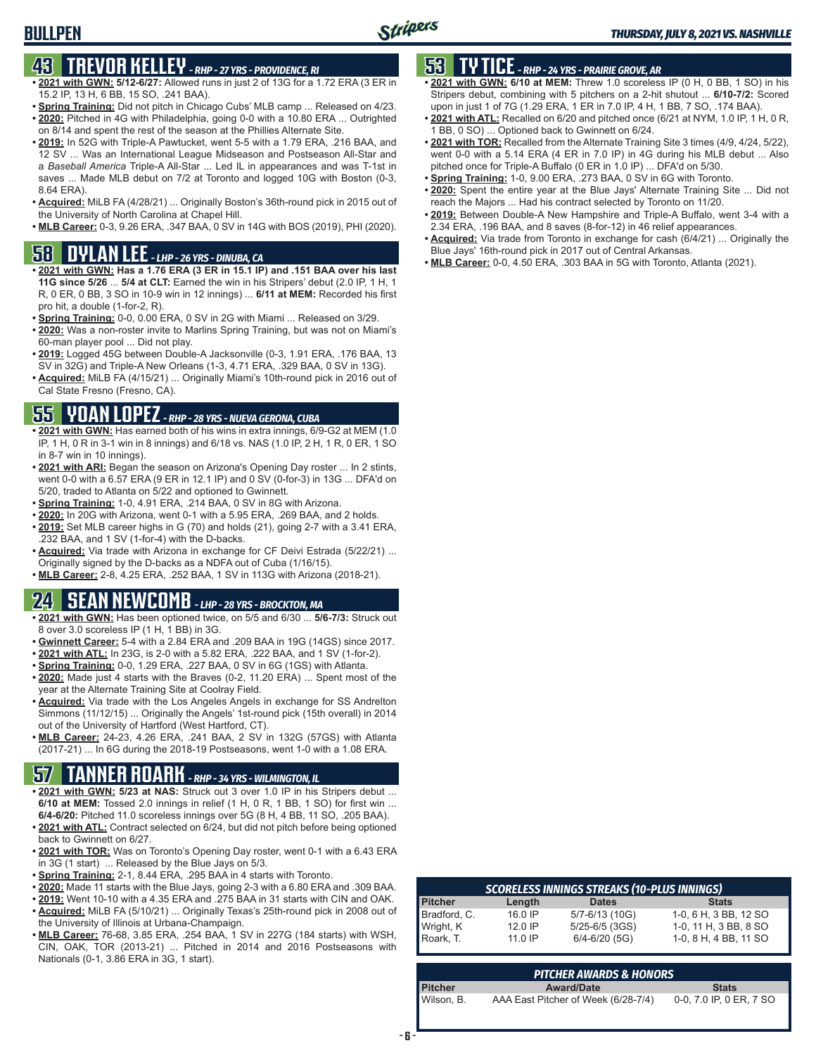### **43 TREVOR KELLEY** *- RHP - 27 YRS - PROVIDENCE, RI*

**BULLPEN**

- **• 2021 with GWN: 5/12-6/27:** Allowed runs in just 2 of 13G for a 1.72 ERA (3 ER in 15.2 IP, 13 H, 6 BB, 15 SO, .241 BAA).
- **• Spring Training:** Did not pitch in Chicago Cubs' MLB camp ... Released on 4/23. **• 2020:** Pitched in 4G with Philadelphia, going 0-0 with a 10.80 ERA ... Outrighted
- on 8/14 and spent the rest of the season at the Phillies Alternate Site. **• 2019:** In 52G with Triple-A Pawtucket, went 5-5 with a 1.79 ERA, .216 BAA, and
- 12 SV ... Was an International League Midseason and Postseason All-Star and a *Baseball America* Triple-A All-Star ... Led IL in appearances and was T-1st in saves ... Made MLB debut on 7/2 at Toronto and logged 10G with Boston (0-3, 8.64 ERA).
- **• Acquired:** MiLB FA (4/28/21) ... Originally Boston's 36th-round pick in 2015 out of the University of North Carolina at Chapel Hill.
- **• MLB Career:** 0-3, 9.26 ERA, .347 BAA, 0 SV in 14G with BOS (2019), PHI (2020).

#### **58 DYLAN LEE** *- LHP - 26 YRS - DINUBA, CA*

- **• 2021 with GWN: Has a 1.76 ERA (3 ER in 15.1 IP) and .151 BAA over his last 11G since 5/26** ... **5/4 at CLT:** Earned the win in his Stripers' debut (2.0 IP, 1 H, 1 R, 0 ER, 0 BB, 3 SO in 10-9 win in 12 innings) ... **6/11 at MEM:** Recorded his first pro hit, a double (1-for-2, R).
- **• Spring Training:** 0-0, 0.00 ERA, 0 SV in 2G with Miami ... Released on 3/29.
- **• 2020:** Was a non-roster invite to Marlins Spring Training, but was not on Miami's 60-man player pool ... Did not play.
- **• 2019:** Logged 45G between Double-A Jacksonville (0-3, 1.91 ERA, .176 BAA, 13 SV in 32G) and Triple-A New Orleans (1-3, 4.71 ERA, .329 BAA, 0 SV in 13G).
- **• Acquired:** MiLB FA (4/15/21) ... Originally Miami's 10th-round pick in 2016 out of Cal State Fresno (Fresno, CA).

### **55 YOAN LOPEZ** *- RHP - 28 YRS - NUEVA GERONA, CUBA*

- **• 2021 with GWN:** Has earned both of his wins in extra innings, 6/9-G2 at MEM (1.0 IP, 1 H, 0 R in 3-1 win in 8 innings) and 6/18 vs. NAS (1.0 IP, 2 H, 1 R, 0 ER, 1 SO in 8-7 win in 10 innings).
- **• 2021 with ARI:** Began the season on Arizona's Opening Day roster ... In 2 stints, went 0-0 with a 6.57 ERA (9 ER in 12.1 IP) and 0 SV (0-for-3) in 13G ... DFA'd on 5/20, traded to Atlanta on 5/22 and optioned to Gwinnett.
- **• Spring Training:** 1-0, 4.91 ERA, .214 BAA, 0 SV in 8G with Arizona.
- **• 2020:** In 20G with Arizona, went 0-1 with a 5.95 ERA, .269 BAA, and 2 holds.
- **• 2019:** Set MLB career highs in G (70) and holds (21), going 2-7 with a 3.41 ERA, .232 BAA, and 1 SV (1-for-4) with the D-backs.
- **• Acquired:** Via trade with Arizona in exchange for CF Deivi Estrada (5/22/21) ... Originally signed by the D-backs as a NDFA out of Cuba (1/16/15).
- **• MLB Career:** 2-8, 4.25 ERA, .252 BAA, 1 SV in 113G with Arizona (2018-21).

### **24 SEAN NEWCOMB** *- LHP - 28 YRS - BROCKTON, MA*

- **• 2021 with GWN:** Has been optioned twice, on 5/5 and 6/30 ... **5/6-7/3:** Struck out 8 over 3.0 scoreless IP (1 H, 1 BB) in 3G.
- **• Gwinnett Career:** 5-4 with a 2.84 ERA and .209 BAA in 19G (14GS) since 2017.
- **• 2021 with ATL:** In 23G, is 2-0 with a 5.82 ERA, .222 BAA, and 1 SV (1-for-2).
- **• Spring Training:** 0-0, 1.29 ERA, .227 BAA, 0 SV in 6G (1GS) with Atlanta.
- **• 2020:** Made just 4 starts with the Braves (0-2, 11.20 ERA) ... Spent most of the year at the Alternate Training Site at Coolray Field.
- **• Acquired:** Via trade with the Los Angeles Angels in exchange for SS Andrelton Simmons (11/12/15) ... Originally the Angels' 1st-round pick (15th overall) in 2014 out of the University of Hartford (West Hartford, CT).
- **• MLB Career:** 24-23, 4.26 ERA, .241 BAA, 2 SV in 132G (57GS) with Atlanta (2017-21) ... In 6G during the 2018-19 Postseasons, went 1-0 with a 1.08 ERA.

### **57 TANNER ROARK** *- RHP - 34 YRS - WILMINGTON, IL*

- **• 2021 with GWN: 5/23 at NAS:** Struck out 3 over 1.0 IP in his Stripers debut ... **6/10 at MEM:** Tossed 2.0 innings in relief (1 H, 0 R, 1 BB, 1 SO) for first win ... **6/4-6/20:** Pitched 11.0 scoreless innings over 5G (8 H, 4 BB, 11 SO, .205 BAA).
- **• 2021 with ATL:** Contract selected on 6/24, but did not pitch before being optioned back to Gwinnett on 6/27.
- **• 2021 with TOR:** Was on Toronto's Opening Day roster, went 0-1 with a 6.43 ERA in 3G (1 start) ... Released by the Blue Jays on 5/3.
- **• Spring Training:** 2-1, 8.44 ERA, .295 BAA in 4 starts with Toronto.
- **• 2020:** Made 11 starts with the Blue Jays, going 2-3 with a 6.80 ERA and .309 BAA.
- **• 2019:** Went 10-10 with a 4.35 ERA and .275 BAA in 31 starts with CIN and OAK. **• Acquired:** MiLB FA (5/10/21) ... Originally Texas's 25th-round pick in 2008 out of the University of Illinois at Urbana-Champaign.
- **• MLB Career:** 76-68, 3.85 ERA, .254 BAA, 1 SV in 227G (184 starts) with WSH, CIN, OAK, TOR (2013-21) ... Pitched in 2014 and 2016 Postseasons with Nationals (0-1, 3.86 ERA in 3G, 1 start).

#### **53 TY TICE** *- RHP - 24 YRS - PRAIRIE GROVE, AR*

- **• 2021 with GWN: 6/10 at MEM:** Threw 1.0 scoreless IP (0 H, 0 BB, 1 SO) in his Stripers debut, combining with 5 pitchers on a 2-hit shutout ... **6/10-7/2:** Scored upon in just 1 of 7G (1.29 ERA, 1 ER in 7.0 IP, 4 H, 1 BB, 7 SO, .174 BAA).
- **• 2021 with ATL:** Recalled on 6/20 and pitched once (6/21 at NYM, 1.0 IP, 1 H, 0 R, 1 BB, 0 SO) ... Optioned back to Gwinnett on 6/24.
- **• 2021 with TOR:** Recalled from the Alternate Training Site 3 times (4/9, 4/24, 5/22), went 0-0 with a 5.14 ERA (4 ER in 7.0 IP) in 4G during his MLB debut ... Also pitched once for Triple-A Buffalo (0 ER in 1.0 IP) ... DFA'd on 5/30.
- **• Spring Training:** 1-0, 9.00 ERA, .273 BAA, 0 SV in 6G with Toronto.
- **• 2020:** Spent the entire year at the Blue Jays' Alternate Training Site ... Did not reach the Majors ... Had his contract selected by Toronto on 11/20.
- **• 2019:** Between Double-A New Hampshire and Triple-A Buffalo, went 3-4 with a 2.34 ERA, .196 BAA, and 8 saves (8-for-12) in 46 relief appearances.
- **• Acquired:** Via trade from Toronto in exchange for cash (6/4/21) ... Originally the Blue Jays' 16th-round pick in 2017 out of Central Arkansas.
- **• MLB Career:** 0-0, 4.50 ERA, .303 BAA in 5G with Toronto, Atlanta (2021).

|                        |           | <b>SCORELESS INNINGS STREAKS (10-PLUS INNINGS)</b> |                       |
|------------------------|-----------|----------------------------------------------------|-----------------------|
| <b>Pitcher</b>         | Length    | <b>Dates</b>                                       | <b>Stats</b>          |
| Bradford, C.           | 16.0 IP   | 5/7-6/13 (10G)                                     | 1-0, 6 H, 3 BB, 12 SO |
|                        | $12.0$ IP | $5/25 - 6/5$ (3GS)                                 | 1-0, 11 H, 3 BB, 8 SO |
| Wright, K<br>Roark, T. | $11.0$ IP | $6/4 - 6/20$ (5G)                                  | 1-0, 8 H, 4 BB, 11 SO |

| <b>PITCHER AWARDS &amp; HONORS</b> |                                     |                         |  |  |  |  |  |  |  |
|------------------------------------|-------------------------------------|-------------------------|--|--|--|--|--|--|--|
| Pitcher                            | <b>Award/Date</b>                   | <b>Stats</b>            |  |  |  |  |  |  |  |
| Wilson, B.                         | AAA East Pitcher of Week (6/28-7/4) | 0-0, 7.0 IP, 0 ER, 7 SO |  |  |  |  |  |  |  |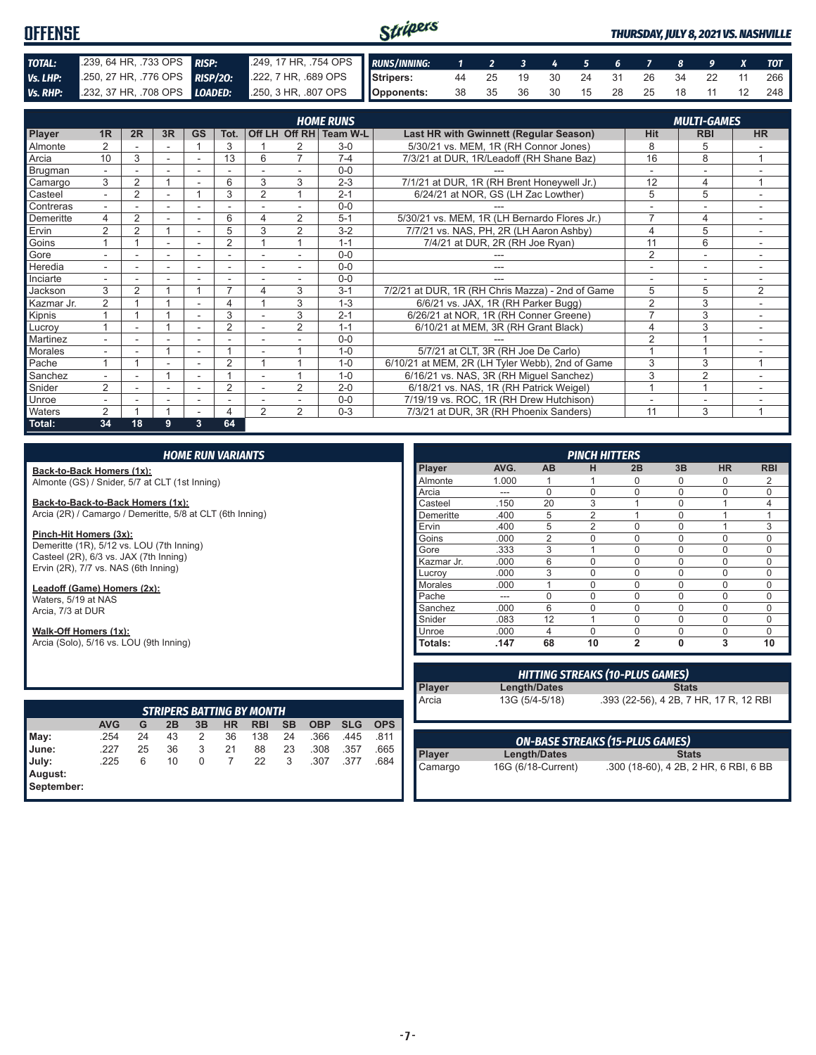#### Stripers **OFFENSE** *THURSDAY, JULY 8, 2021 VS. NASHVILLE TOTAL:* .239, 64 HR, .733 OPS *RISP:* .249, 17 HR, .754 OPS *RUNS/INNING: 1 2 3 4 5 6 7 8 9 X TOT Vs. LHP:* .250, 27 HR, .776 OPS *RISP/2O:* .222, 7 HR, .689 OPS **Stripers:** 44 25 19 30 24 31 26 34 22 11 266 **Opponents:** 38 35 36 30 15 28 25 18 11 12 248 *Vs. RHP:* .232, 37 HR, .708 OPS *LOADED:* .250, 3 HR, .807 OPS

|                            |                          |                |                          |                          |                          |                |                | <b>HOME RUNS</b>       |                                                  |                | <b>MULTI-GAMES</b>       |                |
|----------------------------|--------------------------|----------------|--------------------------|--------------------------|--------------------------|----------------|----------------|------------------------|--------------------------------------------------|----------------|--------------------------|----------------|
| <b>Player</b>              | 1 <sub>R</sub>           | 2R             | 3R                       | <b>GS</b>                | Tot.                     |                |                | Off LH Off RH Team W-L | Last HR with Gwinnett (Regular Season)           | Hit            | <b>RBI</b>               | <b>HR</b>      |
| <b>Almonte</b>             | $\overline{2}$           |                |                          |                          | 3                        |                | 2              | $3-0$                  | 5/30/21 vs. MEM, 1R (RH Connor Jones)            | 8              | 5                        |                |
| Arcia                      | 10                       | 3              | $\sim$                   | $\overline{\phantom{a}}$ | 13                       | 6              | 7              | $7 - 4$                | 7/3/21 at DUR, 1R/Leadoff (RH Shane Baz)         | 16             | 8                        | 1              |
| Brugman                    | $\overline{\phantom{0}}$ |                |                          |                          |                          |                |                | $0 - 0$                |                                                  |                |                          |                |
| Camargo                    | 3                        | $\overline{2}$ |                          |                          | 6                        | 3              | 3              | $2 - 3$                | 7/1/21 at DUR, 1R (RH Brent Honeywell Jr.)       | 12             | $\overline{4}$           |                |
| Casteel                    |                          | $\overline{2}$ |                          |                          | 3                        | $\overline{2}$ |                | $2 - 1$                | 6/24/21 at NOR, GS (LH Zac Lowther)              | 5              | 5                        |                |
| Contreras                  |                          |                |                          |                          |                          |                |                | $0 - 0$                |                                                  |                | $\overline{\phantom{a}}$ |                |
| Demeritte                  | 4                        | $\overline{2}$ |                          |                          | 6                        | 4              | 2              | $5-1$                  | 5/30/21 vs. MEM, 1R (LH Bernardo Flores Jr.)     | 7              | $\overline{4}$           |                |
| Ervin                      | 2                        | $\overline{2}$ |                          | $\overline{\phantom{a}}$ | 5                        | 3              | 2              | $3 - 2$                | 7/7/21 vs. NAS, PH, 2R (LH Aaron Ashby)          | 4              | 5                        | $\sim$         |
| Goins                      |                          |                |                          |                          | $\overline{2}$           |                |                | $1 - 1$                | 7/4/21 at DUR, 2R (RH Joe Ryan)                  | 11             | 6                        |                |
| Gore                       |                          |                | $\overline{\phantom{0}}$ |                          | $\overline{\phantom{a}}$ |                |                | $0 - 0$                |                                                  | 2              | $\overline{\phantom{a}}$ |                |
| Heredia                    |                          |                |                          |                          | ٠                        |                |                | $0 - 0$                | ---                                              |                | ٠                        |                |
| Inciarte                   | ۰.                       |                |                          |                          |                          |                | $\sim$         | $0 - 0$                | ---                                              | ٠              | $\overline{\phantom{a}}$ | ٠              |
| Jackson                    | 3                        | $\overline{2}$ |                          |                          | 7                        | 4              | 3              | $3 - 1$                | 7/2/21 at DUR, 1R (RH Chris Mazza) - 2nd of Game | 5              | 5                        | $\overline{2}$ |
| Kazmar Jr.                 | $\overline{2}$           |                |                          |                          | 4                        |                | 3              | $1 - 3$                | 6/6/21 vs. JAX, 1R (RH Parker Bugg)              | $\overline{2}$ | 3                        |                |
| Kipnis                     |                          |                |                          |                          | 3                        |                | 3              | $2 - 1$                | 6/26/21 at NOR, 1R (RH Conner Greene)            | $\overline{7}$ | 3                        |                |
| Lucroy                     |                          |                |                          |                          | 2                        |                | 2              | $1 - 1$                | 6/10/21 at MEM, 3R (RH Grant Black)              | 4              | 3                        | $\sim$         |
| Martinez                   | ۰.                       |                |                          | ۰                        | $\overline{\phantom{a}}$ |                |                | $0 - 0$                |                                                  | $\overline{2}$ |                          |                |
| Morales                    |                          |                |                          |                          |                          |                |                | $1 - 0$                | 5/7/21 at CLT, 3R (RH Joe De Carlo)              |                |                          |                |
| $\sqrt{\frac{1}{2}}$ Pache |                          |                |                          |                          | $\overline{2}$           |                |                | $1 - 0$                | 6/10/21 at MEM, 2R (LH Tyler Webb), 2nd of Game  | 3              | 3                        | 1              |
| Sanchez                    |                          |                |                          |                          |                          |                |                | $1 - 0$                | 6/16/21 vs. NAS, 3R (RH Miguel Sanchez)          | 3              | $\overline{2}$           |                |
| Snider                     | 2                        |                | $\overline{\phantom{0}}$ | $\overline{\phantom{a}}$ | $\overline{2}$           |                | $\overline{2}$ | $2 - 0$                | 6/18/21 vs. NAS, 1R (RH Patrick Weigel)          |                |                          |                |
| Unroe                      |                          |                |                          |                          |                          |                |                | $0 - 0$                | 7/19/19 vs. ROC, 1R (RH Drew Hutchison)          |                |                          |                |
| <b>Waters</b>              | $\mathcal{P}$            |                |                          |                          | 4                        | $\mathfrak{p}$ | $\mathcal{P}$  | $0 - 3$                | 7/3/21 at DUR, 3R (RH Phoenix Sanders)           | 11             | 3                        |                |
| Total:                     | 34                       | 18             | 9                        | 3                        | 64                       |                |                |                        |                                                  |                |                          |                |

**Back-to-Back Homers (1x):** Almonte (GS) / Snider, 5/7 at CLT (1st Inning)

**Back-to-Back-to-Back Homers (1x):**

Arcia (2R) / Camargo / Demeritte, 5/8 at CLT (6th Inning)

**Pinch-Hit Homers (3x):** Demeritte (1R), 5/12 vs. LOU (7th Inning) Casteel (2R), 6/3 vs. JAX (7th Inning) Ervin (2R), 7/7 vs. NAS (6th Inning)

**Leadoff (Game) Homers (2x):** Waters, 5/19 at NAS Arcia, 7/3 at DUR

#### **Walk-Off Homers (1x):**

Arcia (Solo), 5/16 vs. LOU (9th Inning)

| <b>STRIPERS BATTING BY MONTH</b> |            |    |    |    |    |            |           |            |            |            |
|----------------------------------|------------|----|----|----|----|------------|-----------|------------|------------|------------|
|                                  | <b>AVG</b> | G  | 2B | 3B | HR | <b>RBI</b> | <b>SB</b> | <b>OBP</b> | <b>SLG</b> | <b>OPS</b> |
| May:                             | .254       | 24 | 43 | 2  | 36 | 138        | 24        | .366       | .445       | .811       |
| Uune:                            | .227       | 25 | 36 | 3  | 21 | 88         | 23        | .308       | .357       | .665       |
| July:                            | .225       | 6  | 10 | 0  |    | 22         | 3         | .307       | .377       | 684        |
| August:<br>September:            |            |    |    |    |    |            |           |            |            |            |

|                |       |                | <b>PINCH HITTERS</b> |                |          |           |            |
|----------------|-------|----------------|----------------------|----------------|----------|-----------|------------|
| <b>Player</b>  | AVG.  | AB             | н                    | 2B             | 3B       | <b>HR</b> | <b>RBI</b> |
| Almonte        | 1.000 |                |                      | 0              | 0        | 0         | 2          |
| Arcia          | ---   | $\Omega$       | $\Omega$             | $\Omega$       | $\Omega$ | 0         | $\Omega$   |
| Casteel        | .150  | 20             | 3                    | 4              | $\Omega$ |           | 4          |
| Demeritte      | .400  | 5              | $\overline{2}$       | 1              | 0        |           | 1          |
| Ervin          | .400  | 5              | $\overline{2}$       | $\Omega$       | $\Omega$ | 1         | 3          |
| Goins          | .000  | $\overline{2}$ | 0                    | $\Omega$       | 0        | $\Omega$  | $\Omega$   |
| Gore           | .333  | 3              | 1                    | $\Omega$       | 0        | 0         | $\Omega$   |
| Kazmar Jr.     | .000  | 6              | $\Omega$             | 0              | 0        | $\Omega$  | $\Omega$   |
| Lucrov         | .000  | 3              | 0                    | 0              | 0        | 0         | 0          |
| <b>Morales</b> | .000  |                | $\mathbf 0$          | $\Omega$       | $\Omega$ | 0         | $\Omega$   |
| Pache          | ---   | $\Omega$       | $\Omega$             | $\Omega$       | $\Omega$ | $\Omega$  | $\Omega$   |
| Sanchez        | .000  | 6              | $\mathbf 0$          | $\Omega$       | $\Omega$ | 0         | 0          |
| Snider         | .083  | 12             | 1                    | 0              | $\Omega$ | $\Omega$  | $\Omega$   |
| Unroe          | .000  | 4              | $\Omega$             | $\Omega$       | $\Omega$ | $\Omega$  | $\Omega$   |
| Totals:        | .147  | 68             | 10                   | $\overline{2}$ | $\bf{0}$ | 3         | 10         |

| <b>HITTING STREAKS (10-PLUS GAMES)</b> |                |                                        |  |  |  |  |  |  |  |  |  |
|----------------------------------------|----------------|----------------------------------------|--|--|--|--|--|--|--|--|--|
| Player                                 | Length/Dates   | <b>Stats</b>                           |  |  |  |  |  |  |  |  |  |
| Arcia                                  | 13G (5/4-5/18) | .393 (22-56), 4 2B, 7 HR, 17 R, 12 RBI |  |  |  |  |  |  |  |  |  |

|                   |                    | <b>ON-BASE STREAKS (15-PLUS GAMES)</b> |
|-------------------|--------------------|----------------------------------------|
|                   | Length/Dates       | <b>Stats</b>                           |
| Player<br>Camargo | 16G (6/18-Current) | .300 (18-60), 4 2B, 2 HR, 6 RBI, 6 BB  |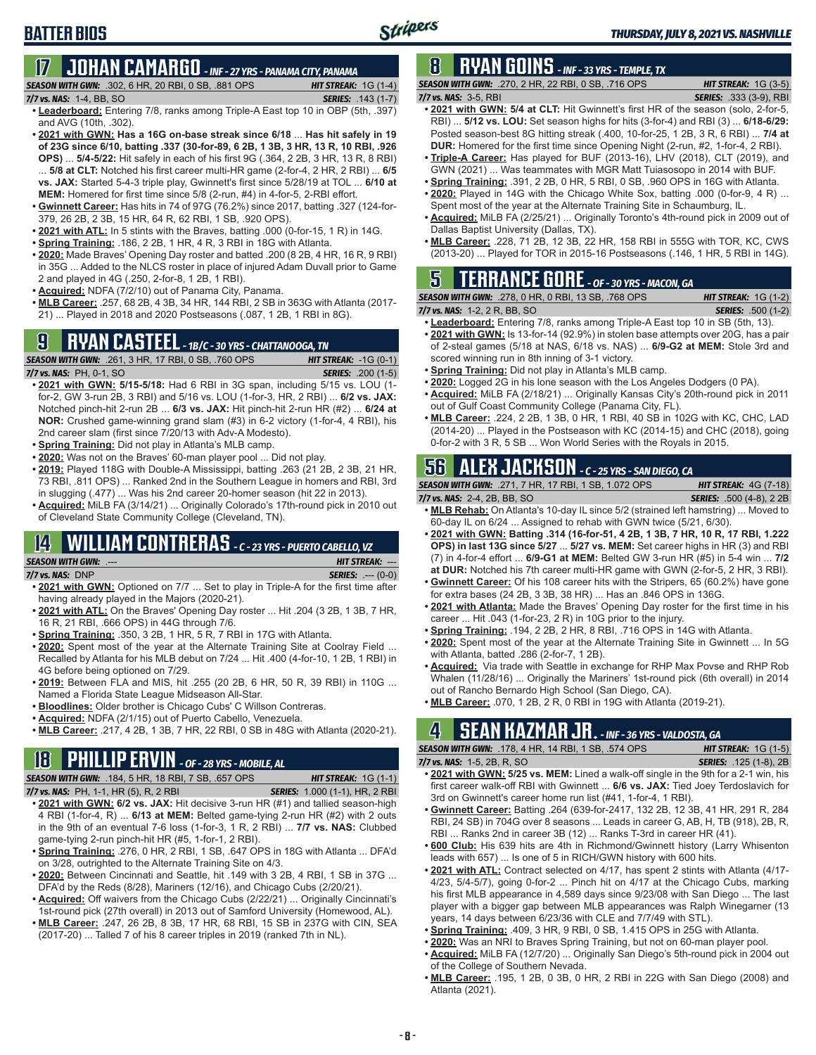#### **17 JOHAN CAMARGO** *- INF - 27 YRS - PANAMA CITY, PANAMA*

**SEASON WITH GWN:**  $.302, 6$  HR, 20 RBI, 0 SB,  $.881$  OPS *HIT STREAK:* 1G (1-4)<br>**7/7 vs. NAS:** 1-4, BB, SO **SERIES:** .143 (1-7) *7/7 vs. NAS:* 1-4, BB, SO

- **• Leaderboard:** Entering 7/8, ranks among Triple-A East top 10 in OBP (5th, .397) and AVG (10th, .302).
- **• 2021 with GWN: Has a 16G on-base streak since 6/18** ... **Has hit safely in 19 of 23G since 6/10, batting .337 (30-for-89, 6 2B, 1 3B, 3 HR, 13 R, 10 RBI, .926 OPS)** ... **5/4-5/22:** Hit safely in each of his first 9G (.364, 2 2B, 3 HR, 13 R, 8 RBI) ... **5/8 at CLT:** Notched his first career multi-HR game (2-for-4, 2 HR, 2 RBI) ... **6/5 vs. JAX:** Started 5-4-3 triple play, Gwinnett's first since 5/28/19 at TOL ... **6/10 at MEM:** Homered for first time since 5/8 (2-run, #4) in 4-for-5, 2-RBI effort.
- **• Gwinnett Career:** Has hits in 74 of 97G (76.2%) since 2017, batting .327 (124-for-379, 26 2B, 2 3B, 15 HR, 64 R, 62 RBI, 1 SB, .920 OPS).
- **• 2021 with ATL:** In 5 stints with the Braves, batting .000 (0-for-15, 1 R) in 14G.
- **• Spring Training:** .186, 2 2B, 1 HR, 4 R, 3 RBI in 18G with Atlanta.
- **• 2020:** Made Braves' Opening Day roster and batted .200 (8 2B, 4 HR, 16 R, 9 RBI) in 35G ... Added to the NLCS roster in place of injured Adam Duvall prior to Game 2 and played in 4G (.250, 2-for-8, 1 2B, 1 RBI).
- **• Acquired:** NDFA (7/2/10) out of Panama City, Panama.
- **• MLB Career:** .257, 68 2B, 4 3B, 34 HR, 144 RBI, 2 SB in 363G with Atlanta (2017- 21) ... Played in 2018 and 2020 Postseasons (.087, 1 2B, 1 RBI in 8G).

### **9 RYAN CASTEEL** *- 1B/C - 30 YRS - CHATTANOOGA, TN*

*SEASON WITH GWN:*.261, 3 HR, 17 RBI, 0 SB, .760 OPS *HIT STREAK:* -1G (0-1) *7/7 vs. NAS:*PH, 0-1, SO *SERIES:* .200 (1-5)

- **• 2021 with GWN: 5/15-5/18:** Had 6 RBI in 3G span, including 5/15 vs. LOU (1 for-2, GW 3-run 2B, 3 RBI) and 5/16 vs. LOU (1-for-3, HR, 2 RBI) ... **6/2 vs. JAX:** Notched pinch-hit 2-run 2B ... **6/3 vs. JAX:** Hit pinch-hit 2-run HR (#2) ... **6/24 at NOR:** Crushed game-winning grand slam (#3) in 6-2 victory (1-for-4, 4 RBI), his 2nd career slam (first since 7/20/13 with Adv-A Modesto).
- **• Spring Training:** Did not play in Atlanta's MLB camp.
- **• 2020:** Was not on the Braves' 60-man player pool ... Did not play.
- **• 2019:** Played 118G with Double-A Mississippi, batting .263 (21 2B, 2 3B, 21 HR, 73 RBI, .811 OPS) ... Ranked 2nd in the Southern League in homers and RBI, 3rd in slugging (.477) ... Was his 2nd career 20-homer season (hit 22 in 2013).
- **• Acquired:** MiLB FA (3/14/21) ... Originally Colorado's 17th-round pick in 2010 out of Cleveland State Community College (Cleveland, TN).

#### **14 WILLIAM CONTRERAS** *- C - 23 YRS - PUERTO CABELLO, VZ SEASON WITH GWN:*.--- *HIT STREAK:* ---

*7/7 vs. NAS:*DNP *SERIES:* .--- (0-0)

- **• 2021 with GWN:** Optioned on 7/7 ... Set to play in Triple-A for the first time after having already played in the Majors (2020-21).
- **• 2021 with ATL:** On the Braves' Opening Day roster ... Hit .204 (3 2B, 1 3B, 7 HR, 16 R, 21 RBI, .666 OPS) in 44G through 7/6.
- **• Spring Training:** .350, 3 2B, 1 HR, 5 R, 7 RBI in 17G with Atlanta.
- **• 2020:** Spent most of the year at the Alternate Training Site at Coolray Field ... Recalled by Atlanta for his MLB debut on 7/24 ... Hit .400 (4-for-10, 1 2B, 1 RBI) in 4G before being optioned on 7/29.
- **• 2019:** Between FLA and MIS, hit .255 (20 2B, 6 HR, 50 R, 39 RBI) in 110G ... Named a Florida State League Midseason All-Star.
- **• Bloodlines:** Older brother is Chicago Cubs' C Willson Contreras.
- **• Acquired:** NDFA (2/1/15) out of Puerto Cabello, Venezuela.
- **• MLB Career:** .217, 4 2B, 1 3B, 7 HR, 22 RBI, 0 SB in 48G with Atlanta (2020-21).

### **18 PHILLIP ERVIN** *- OF - 28 YRS - MOBILE, AL*

*SEASON WITH GWN:*.184, 5 HR, 18 RBI, 7 SB, .657 OPS *HIT STREAK:* 1G (1-1)

*7/7 vs. NAS:*PH, 1-1, HR (5), R, 2 RBI *SERIES:* 1.000 (1-1), HR, 2 RBI

- **• 2021 with GWN: 6/2 vs. JAX:** Hit decisive 3-run HR (#1) and tallied season-high 4 RBI (1-for-4, R) ... **6/13 at MEM:** Belted game-tying 2-run HR (#2) with 2 outs in the 9th of an eventual 7-6 loss (1-for-3, 1 R, 2 RBI) ... **7/7 vs. NAS:** Clubbed game-tying 2-run pinch-hit HR (#5, 1-for-1, 2 RBI).
- **• Spring Training:** .276, 0 HR, 2 RBI, 1 SB, .647 OPS in 18G with Atlanta ... DFA'd on 3/28, outrighted to the Alternate Training Site on 4/3.
- **• 2020:** Between Cincinnati and Seattle, hit .149 with 3 2B, 4 RBI, 1 SB in 37G ... DFA'd by the Reds (8/28), Mariners (12/16), and Chicago Cubs (2/20/21).
- **• Acquired:** Off waivers from the Chicago Cubs (2/22/21) ... Originally Cincinnati's 1st-round pick (27th overall) in 2013 out of Samford University (Homewood, AL).
- **• MLB Career:** .247, 26 2B, 8 3B, 17 HR, 68 RBI, 15 SB in 237G with CIN, SEA (2017-20) ... Talled 7 of his 8 career triples in 2019 (ranked 7th in NL).

#### **8 RYAN GOINS** *- INF - 33 YRS - TEMPLE, TX*

*SEASON WITH GWN:*.270, 2 HR, 22 RBI, 0 SB, .716 OPS *HIT STREAK:* 1G (3-5) *7/7 vs. NAS:*3-5, RBI *SERIES:* .333 (3-9), RBI

- **• 2021 with GWN: 5/4 at CLT:** Hit Gwinnett's first HR of the season (solo, 2-for-5, RBI) ... **5/12 vs. LOU:** Set season highs for hits (3-for-4) and RBI (3) ... **6/18-6/29:** Posted season-best 8G hitting streak (.400, 10-for-25, 1 2B, 3 R, 6 RBI) ... **7/4 at DUR:** Homered for the first time since Opening Night (2-run, #2, 1-for-4, 2 RBI).
- **• Triple-A Career:** Has played for BUF (2013-16), LHV (2018), CLT (2019), and GWN (2021) ... Was teammates with MGR Matt Tuiasosopo in 2014 with BUF.
- **• Spring Training:** .391, 2 2B, 0 HR, 5 RBI, 0 SB, .960 OPS in 16G with Atlanta.
- **• 2020:** Played in 14G with the Chicago White Sox, batting .000 (0-for-9, 4 R) ... Spent most of the year at the Alternate Training Site in Schaumburg, IL.
- **• Acquired:** MiLB FA (2/25/21) ... Originally Toronto's 4th-round pick in 2009 out of Dallas Baptist University (Dallas, TX).
- **• MLB Career:** .228, 71 2B, 12 3B, 22 HR, 158 RBI in 555G with TOR, KC, CWS (2013-20) ... Played for TOR in 2015-16 Postseasons (.146, 1 HR, 5 RBI in 14G).

#### **5 TERRANCE GORE** *- OF - 30 YRS - MACON, GA*

*SEASON WITH GWN:*.278, 0 HR, 0 RBI, 13 SB, .768 OPS *HIT STREAK:* 1G (1-2) *7/7 vs. NAS:*1-2, 2 R, BB, SO *SERIES:* .500 (1-2)

- **• Leaderboard:** Entering 7/8, ranks among Triple-A East top 10 in SB (5th, 13). **• 2021 with GWN:** Is 13-for-14 (92.9%) in stolen base attempts over 20G, has a pair of 2-steal games (5/18 at NAS, 6/18 vs. NAS) ... **6/9-G2 at MEM:** Stole 3rd and
- scored winning run in 8th inning of 3-1 victory.
- **• Spring Training:** Did not play in Atlanta's MLB camp.
- **• 2020:** Logged 2G in his lone season with the Los Angeles Dodgers (0 PA).
- **• Acquired:** MiLB FA (2/18/21) ... Originally Kansas City's 20th-round pick in 2011 out of Gulf Coast Community College (Panama City, FL).
- **• MLB Career:** .224, 2 2B, 1 3B, 0 HR, 1 RBI, 40 SB in 102G with KC, CHC, LAD (2014-20) ... Played in the Postseason with KC (2014-15) and CHC (2018), going 0-for-2 with 3 R, 5 SB ... Won World Series with the Royals in 2015.

#### **56 ALEX JACKSON** *- C - 25 YRS - SAN DIEGO, CA*

| <b>SEASON WITH GWN:</b> .271. 7 HR. 17 RBI. 1 SB. 1.072 OPS | <b>HIT STREAK:</b> $4G(7-18)$   |
|-------------------------------------------------------------|---------------------------------|
| 7/7 vs. NAS: 2-4, 2B, BB, SO                                | <b>SERIES:</b> .500 (4-8), 2 2B |

- **• MLB Rehab:** On Atlanta's 10-day IL since 5/2 (strained left hamstring) ... Moved to 60-day IL on 6/24 ... Assigned to rehab with GWN twice (5/21, 6/30).
- **• 2021 with GWN: Batting .314 (16-for-51, 4 2B, 1 3B, 7 HR, 10 R, 17 RBI, 1.222 OPS) in last 13G since 5/27** ... **5/27 vs. MEM:** Set career highs in HR (3) and RBI (7) in 4-for-4 effort ... **6/9-G1 at MEM:** Belted GW 3-run HR (#5) in 5-4 win ... **7/2 at DUR:** Notched his 7th career multi-HR game with GWN (2-for-5, 2 HR, 3 RBI).
- **• Gwinnett Career:** Of his 108 career hits with the Stripers, 65 (60.2%) have gone for extra bases (24 2B, 3 3B, 38 HR) ... Has an .846 OPS in 136G.
- **• 2021 with Atlanta:** Made the Braves' Opening Day roster for the first time in his career ... Hit .043 (1-for-23, 2 R) in 10G prior to the injury.
- **• Spring Training:** .194, 2 2B, 2 HR, 8 RBI, .716 OPS in 14G with Atlanta.
- **• 2020:** Spent most of the year at the Alternate Training Site in Gwinnett ... In 5G with Atlanta, batted .286 (2-for-7, 1 2B).
- **• Acquired:** Via trade with Seattle in exchange for RHP Max Povse and RHP Rob Whalen (11/28/16) ... Originally the Mariners' 1st-round pick (6th overall) in 2014 out of Rancho Bernardo High School (San Diego, CA).
- **• MLB Career:** .070, 1 2B, 2 R, 0 RBI in 19G with Atlanta (2019-21).

#### **4 SEAN KAZMAR JR.** *- INF - 36 YRS - VALDOSTA, GA*

| <b>SEASON WITH GWN: .178. 4 HR. 14 RBI. 1 SB. .574 OPS</b> | <b>HIT STREAK:</b> $1G(1-5)$  |
|------------------------------------------------------------|-------------------------------|
| 7/7 vs. NAS: 1-5, 2B, R, SO                                | <b>SERIES:</b> .125 (1-8), 2B |

- **• 2021 with GWN: 5/25 vs. MEM:** Lined a walk-off single in the 9th for a 2-1 win, his first career walk-off RBI with Gwinnett ... **6/6 vs. JAX:** Tied Joey Terdoslavich for 3rd on Gwinnett's career home run list (#41, 1-for-4, 1 RBI).
- **• Gwinnett Career:** Batting .264 (639-for-2417, 132 2B, 12 3B, 41 HR, 291 R, 284 RBI, 24 SB) in 704G over 8 seasons ... Leads in career G, AB, H, TB (918), 2B, R, RBI ... Ranks 2nd in career 3B (12) ... Ranks T-3rd in career HR (41).
- **• 600 Club:** His 639 hits are 4th in Richmond/Gwinnett history (Larry Whisenton leads with 657) ... Is one of 5 in RICH/GWN history with 600 hits.
- **• 2021 with ATL:** Contract selected on 4/17, has spent 2 stints with Atlanta (4/17- 4/23, 5/4-5/7), going 0-for-2 ... Pinch hit on 4/17 at the Chicago Cubs, marking his first MLB appearance in 4,589 days since 9/23/08 with San Diego ... The last player with a bigger gap between MLB appearances was Ralph Winegarner (13 years, 14 days between 6/23/36 with CLE and 7/7/49 with STL).
- **• Spring Training:** .409, 3 HR, 9 RBI, 0 SB, 1.415 OPS in 25G with Atlanta.
- **• 2020:** Was an NRI to Braves Spring Training, but not on 60-man player pool.
- **• Acquired:** MiLB FA (12/7/20) ... Originally San Diego's 5th-round pick in 2004 out of the College of Southern Nevada.
- **• MLB Career:** .195, 1 2B, 0 3B, 0 HR, 2 RBI in 22G with San Diego (2008) and Atlanta (2021).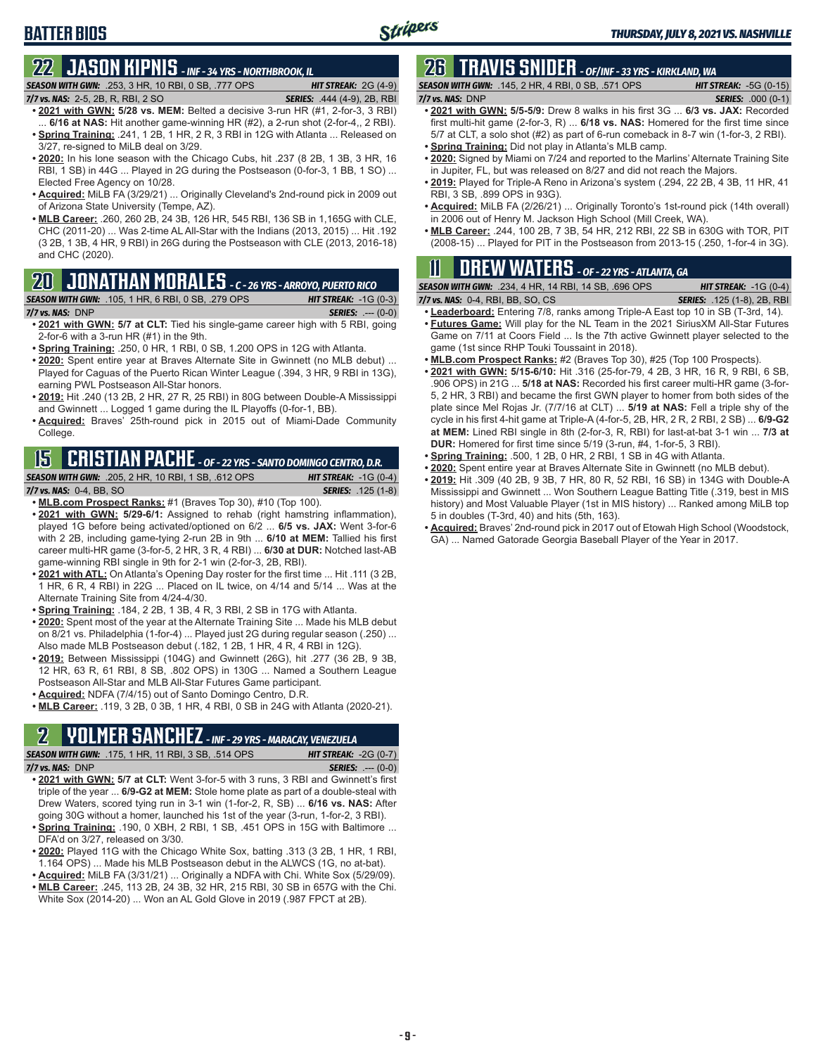#### **BATTER BIOS**

### **22 JASON KIPNIS** *- INF - 34 YRS - NORTHBROOK, IL*

*SEASON WITH GWN:*.253, 3 HR, 10 RBI, 0 SB, .777 OPS *HIT STREAK:* 2G (4-9) *7/7 vs. NAS:*2-5, 2B, R, RBI, 2 SO *SERIES:* .444 (4-9), 2B, RBI

- **• 2021 with GWN: 5/28 vs. MEM:** Belted a decisive 3-run HR (#1, 2-for-3, 3 RBI) ... **6/16 at NAS:** Hit another game-winning HR (#2), a 2-run shot (2-for-4,, 2 RBI). **• Spring Training:** .241, 1 2B, 1 HR, 2 R, 3 RBI in 12G with Atlanta ... Released on
- 3/27, re-signed to MiLB deal on 3/29. **• 2020:** In his lone season with the Chicago Cubs, hit .237 (8 2B, 1 3B, 3 HR, 16 RBI, 1 SB) in 44G ... Played in 2G during the Postseason (0-for-3, 1 BB, 1 SO) ... Elected Free Agency on 10/28.
- **• Acquired:** MiLB FA (3/29/21) ... Originally Cleveland's 2nd-round pick in 2009 out of Arizona State University (Tempe, AZ).
- **• MLB Career:** .260, 260 2B, 24 3B, 126 HR, 545 RBI, 136 SB in 1,165G with CLE, CHC (2011-20) ... Was 2-time AL All-Star with the Indians (2013, 2015) ... Hit .192 (3 2B, 1 3B, 4 HR, 9 RBI) in 26G during the Postseason with CLE (2013, 2016-18) and CHC (2020).

#### **20 JONATHAN MORALES** *- C - 26 YRS - ARROYO, PUERTO RICO*

#### *SEASON WITH GWN:*.105, 1 HR, 6 RBI, 0 SB, .279 OPS *HIT STREAK:* -1G (0-3)

*7/7 vs. NAS:*DNP *SERIES:* .--- (0-0)

- **• 2021 with GWN: 5/7 at CLT:** Tied his single-game career high with 5 RBI, going 2-for-6 with a 3-run HR (#1) in the 9th.
- **• Spring Training:** .250, 0 HR, 1 RBI, 0 SB, 1.200 OPS in 12G with Atlanta.
- **• 2020:** Spent entire year at Braves Alternate Site in Gwinnett (no MLB debut) ... Played for Caguas of the Puerto Rican Winter League (.394, 3 HR, 9 RBI in 13G), earning PWL Postseason All-Star honors.
- **• 2019:** Hit .240 (13 2B, 2 HR, 27 R, 25 RBI) in 80G between Double-A Mississippi and Gwinnett ... Logged 1 game during the IL Playoffs (0-for-1, BB).
- **• Acquired:** Braves' 25th-round pick in 2015 out of Miami-Dade Community College.

### **15 CRISTIAN PACHE** *- OF - 22 YRS - SANTO DOMINGO CENTRO, D.R.*

#### *SEASON WITH GWN:*.205, 2 HR, 10 RBI, 1 SB, .612 OPS *HIT STREAK:* -1G (0-4) *7/7 vs. NAS:* 0-4, BB, SO *SERIES:* .125 (1-8)

- **• MLB.com Prospect Ranks:** #1 (Braves Top 30), #10 (Top 100).
- **• 2021 with GWN: 5/29-6/1:** Assigned to rehab (right hamstring inflammation), played 1G before being activated/optioned on 6/2 ... **6/5 vs. JAX:** Went 3-for-6 with 2 2B, including game-tying 2-run 2B in 9th ... **6/10 at MEM:** Tallied his first career multi-HR game (3-for-5, 2 HR, 3 R, 4 RBI) ... **6/30 at DUR:** Notched last-AB game-winning RBI single in 9th for 2-1 win (2-for-3, 2B, RBI).
- **• 2021 with ATL:** On Atlanta's Opening Day roster for the first time ... Hit .111 (3 2B, 1 HR, 6 R, 4 RBI) in 22G ... Placed on IL twice, on 4/14 and 5/14 ... Was at the Alternate Training Site from 4/24-4/30.
- **• Spring Training:** .184, 2 2B, 1 3B, 4 R, 3 RBI, 2 SB in 17G with Atlanta.
- **• 2020:** Spent most of the year at the Alternate Training Site ... Made his MLB debut on 8/21 vs. Philadelphia (1-for-4) ... Played just 2G during regular season (.250) ... Also made MLB Postseason debut (.182, 1 2B, 1 HR, 4 R, 4 RBI in 12G).
- **• 2019:** Between Mississippi (104G) and Gwinnett (26G), hit .277 (36 2B, 9 3B, 12 HR, 63 R, 61 RBI, 8 SB, .802 OPS) in 130G ... Named a Southern League Postseason All-Star and MLB All-Star Futures Game participant.
- **• Acquired:** NDFA (7/4/15) out of Santo Domingo Centro, D.R.
- **• MLB Career:** .119, 3 2B, 0 3B, 1 HR, 4 RBI, 0 SB in 24G with Atlanta (2020-21).

#### **2 YOLMER SANCHEZ** *- INF - 29 YRS - MARACAY, VENEZUELA*

*SEASON WITH GWN:*.175, 1 HR, 11 RBI, 3 SB, .514 OPS *HIT STREAK:* -2G (0-7)

- **• 2021 with GWN: 5/7 at CLT:** Went 3-for-5 with 3 runs, 3 RBI and Gwinnett's first triple of the year ... **6/9-G2 at MEM:** Stole home plate as part of a double-steal with Drew Waters, scored tying run in 3-1 win (1-for-2, R, SB) ... **6/16 vs. NAS:** After going 30G without a homer, launched his 1st of the year (3-run, 1-for-2, 3 RBI). **• Spring Training:** .190, 0 XBH, 2 RBI, 1 SB, .451 OPS in 15G with Baltimore ...
- DFA'd on 3/27, released on 3/30.
- **• 2020:** Played 11G with the Chicago White Sox, batting .313 (3 2B, 1 HR, 1 RBI, 1.164 OPS) ... Made his MLB Postseason debut in the ALWCS (1G, no at-bat).
- **• Acquired:** MiLB FA (3/31/21) ... Originally a NDFA with Chi. White Sox (5/29/09). **• MLB Career:** .245, 113 2B, 24 3B, 32 HR, 215 RBI, 30 SB in 657G with the Chi. White Sox (2014-20) ... Won an AL Gold Glove in 2019 (.987 FPCT at 2B).

### **26 TRAVIS SNIDER** *- OF/INF - 33 YRS - KIRKLAND, WA*

*SEASON WITH GWN:*.145, 2 HR, 4 RBI, 0 SB, .571 OPS *HIT STREAK:* -5G (0-15) *7/7 vs. NAS:* DNP *SERIES:* .000 (0-1)

- **• 2021 with GWN: 5/5-5/9:** Drew 8 walks in his first 3G ... **6/3 vs. JAX:** Recorded first multi-hit game (2-for-3, R) ... **6/18 vs. NAS:** Homered for the first time since 5/7 at CLT, a solo shot (#2) as part of 6-run comeback in 8-7 win (1-for-3, 2 RBI).
- **• Spring Training:** Did not play in Atlanta's MLB camp.
- **• 2020:** Signed by Miami on 7/24 and reported to the Marlins' Alternate Training Site in Jupiter, FL, but was released on 8/27 and did not reach the Majors.
- **• 2019:** Played for Triple-A Reno in Arizona's system (.294, 22 2B, 4 3B, 11 HR, 41 RBI, 3 SB, .899 OPS in 93G).
- **• Acquired:** MiLB FA (2/26/21) ... Originally Toronto's 1st-round pick (14th overall) in 2006 out of Henry M. Jackson High School (Mill Creek, WA).
- **• MLB Career:** .244, 100 2B, 7 3B, 54 HR, 212 RBI, 22 SB in 630G with TOR, PIT (2008-15) ... Played for PIT in the Postseason from 2013-15 (.250, 1-for-4 in 3G).

### **11 Drew WATERS** *- OF - 22 YRS - ATLANTA, GA*

| <b>SEASON WITH GWN:</b> .234, 4 HR, 14 RBI, 14 SB, .696 OPS                                                                                                                                                                                                                                                                                                                          | <b>HIT STREAK:</b> $-1G(0-4)$ |
|--------------------------------------------------------------------------------------------------------------------------------------------------------------------------------------------------------------------------------------------------------------------------------------------------------------------------------------------------------------------------------------|-------------------------------|
| $\overline{a}$ $\overline{b}$ $\overline{a}$ $\overline{a}$ $\overline{a}$ $\overline{b}$ $\overline{a}$ $\overline{b}$ $\overline{a}$ $\overline{a}$ $\overline{a}$ $\overline{a}$ $\overline{a}$ $\overline{a}$ $\overline{a}$ $\overline{a}$ $\overline{a}$ $\overline{a}$ $\overline{a}$ $\overline{a}$ $\overline{a}$ $\overline{a}$ $\overline{a}$ $\overline{a}$ $\overline{$ | $\overline{1}$                |

- *7/7 vs. NAS:*0-4, RBI, BB, SO, CS *SERIES:* .125 (1-8), 2B, RBI **• Leaderboard:** Entering 7/8, ranks among Triple-A East top 10 in SB (T-3rd, 14).
- **• Futures Game:** Will play for the NL Team in the 2021 SiriusXM All-Star Futures Game on 7/11 at Coors Field ... Is the 7th active Gwinnett player selected to the game (1st since RHP Touki Toussaint in 2018).
- **• MLB.com Prospect Ranks:** #2 (Braves Top 30), #25 (Top 100 Prospects).
- **• 2021 with GWN: 5/15-6/10:** Hit .316 (25-for-79, 4 2B, 3 HR, 16 R, 9 RBI, 6 SB, .906 OPS) in 21G ... **5/18 at NAS:** Recorded his first career multi-HR game (3-for-5, 2 HR, 3 RBI) and became the first GWN player to homer from both sides of the plate since Mel Rojas Jr. (7/7/16 at CLT) ... **5/19 at NAS:** Fell a triple shy of the cycle in his first 4-hit game at Triple-A (4-for-5, 2B, HR, 2 R, 2 RBI, 2 SB) ... **6/9-G2 at MEM:** Lined RBI single in 8th (2-for-3, R, RBI) for last-at-bat 3-1 win ... **7/3 at DUR:** Homered for first time since 5/19 (3-run, #4, 1-for-5, 3 RBI).
- **• Spring Training:** .500, 1 2B, 0 HR, 2 RBI, 1 SB in 4G with Atlanta.
- **• 2020:** Spent entire year at Braves Alternate Site in Gwinnett (no MLB debut).
- **• 2019:** Hit .309 (40 2B, 9 3B, 7 HR, 80 R, 52 RBI, 16 SB) in 134G with Double-A Mississippi and Gwinnett ... Won Southern League Batting Title (.319, best in MIS history) and Most Valuable Player (1st in MIS history) ... Ranked among MiLB top 5 in doubles (T-3rd, 40) and hits (5th, 163).
- **• Acquired:** Braves' 2nd-round pick in 2017 out of Etowah High School (Woodstock, GA) ... Named Gatorade Georgia Baseball Player of the Year in 2017.

*7/7 vs. NAS:*DNP *SERIES:* .--- (0-0)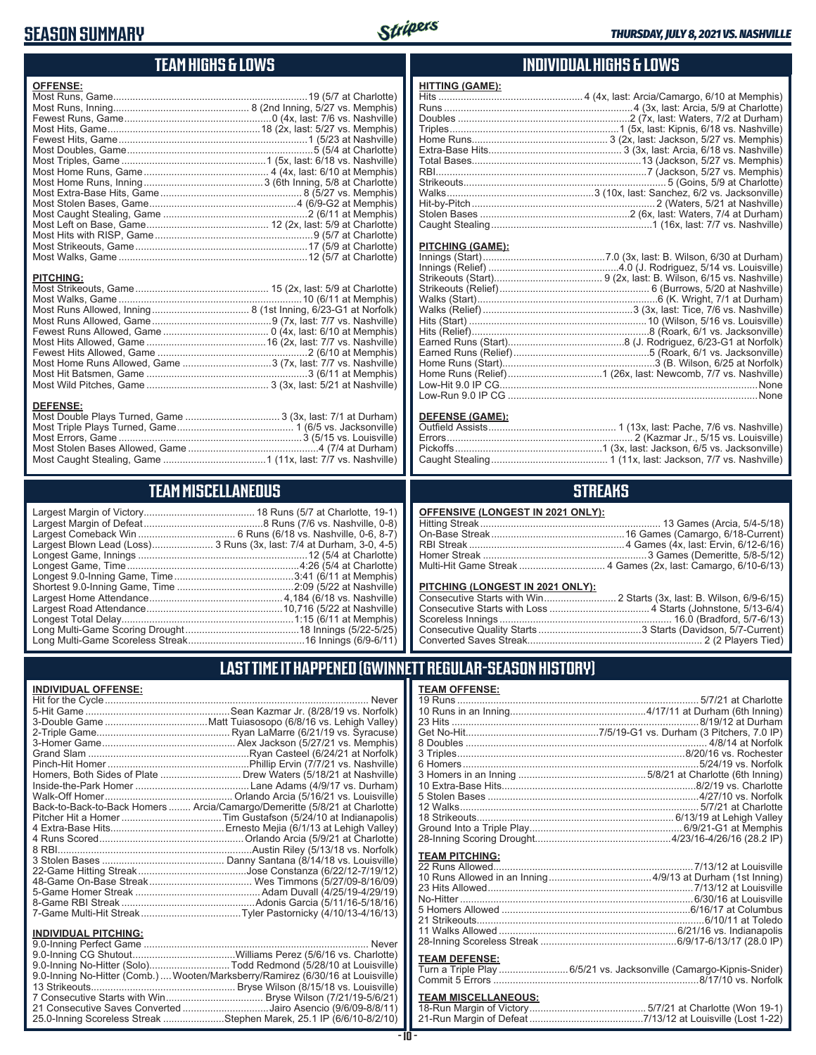#### **SEASON SUMMARY**



#### **TEAM HIGHS & LOWS**

| <b>OFFENSE:</b>  |  |
|------------------|--|
|                  |  |
|                  |  |
|                  |  |
|                  |  |
|                  |  |
|                  |  |
|                  |  |
|                  |  |
|                  |  |
|                  |  |
|                  |  |
|                  |  |
|                  |  |
|                  |  |
|                  |  |
|                  |  |
|                  |  |
| <b>PITCHING:</b> |  |
|                  |  |
|                  |  |
|                  |  |
|                  |  |
|                  |  |
|                  |  |

Fewest Hits Allowed, Game 2 (6/10 at Memphis) Most Home Runs Allowed, Game 3 (7x, last: 7/7 vs. Nashville) Most Hit Batsmen, Game 3 (6/11 at Memphis) Most Wild Pitches, Game 3 (3x, last: 5/21 at Nashville)

Most Double Plays Turned, Game 3 (3x, last: 7/1 at Durham) Most Triple Plays Turned, Game 1 (6/5 vs. Jacksonville) Most Errors, Game 3 (5/15 vs. Louisville) Most Stolen Bases Allowed, Game 4 (7/4 at Durham) Most Caught Stealing, Game 1 (11x, last: 7/7 vs. Nashville)

**TEAM MISCELLANEOUS** Largest Margin of Victory 18 Runs (5/7 at Charlotte, 19-1) Largest Margin of Defeat 8 Runs (7/6 vs. Nashville, 0-8) Largest Comeback Win ................................... 6 Runs (6/18 vs. Nashville, 0-6, 8-7) Largest Blown Lead (Loss)...................... 3 Runs (3x, last: 7/4 at Durham, 3-0, 4-5) Longest Game, Innings 12 (5/4 at Charlotte) Longest Game, Time 4:26 (5/4 at Charlotte) Longest 9.0-Inning Game, Time 3:41 (6/11 at Memphis) Shortest 9.0-Inning Game, Time 2:09 (5/22 at Nashville) Largest Home Attendance 4,184 (6/18 vs. Nashville) Largest Road Attendance 10,716 (5/22 at Nashville) Longest Total Delay 1:15 (6/11 at Memphis) Long Multi-Game Scoring Drought……………………………………18 Innings (5/22-5/25) Long Multi-Game Scoreless Streak 16 Innings (6/9-6/11)

#### **INDIVIDUAL HIGHS & LOWS**

#### **PITCHING (GAME):**

**HITTING (GAME):**

#### **DEFENSE (GAME):**

#### **STREAKS**

#### **OFFENSIVE (LONGEST IN 2021 ONLY):**

#### **PITCHING (LONGEST IN 2021 ONLY):**

| <u>LITORING (LONGLOT IN 2021 ONLITE</u> |  |
|-----------------------------------------|--|
|                                         |  |
|                                         |  |
|                                         |  |
|                                         |  |
|                                         |  |
|                                         |  |

#### **LAST TIME IT HAPPENED (GWINNETT REGULAR-SEASON HISTORY)**

#### **INDIVIDUAL OFFENSE:**

**DEFENSE:**

|                             | Homers, Both Sides of Plate  Drew Waters (5/18/21 at Nashville)            |
|-----------------------------|----------------------------------------------------------------------------|
|                             |                                                                            |
|                             |                                                                            |
|                             | Back-to-Back-to-Back Homers  Arcia/Camargo/Demeritte (5/8/21 at Charlotte) |
|                             |                                                                            |
|                             |                                                                            |
|                             |                                                                            |
|                             |                                                                            |
|                             |                                                                            |
|                             |                                                                            |
|                             |                                                                            |
|                             |                                                                            |
|                             |                                                                            |
|                             |                                                                            |
|                             |                                                                            |
| <b>INDIVIDUAL PITCHING:</b> |                                                                            |
|                             |                                                                            |

| 9.0-Inning No-Hitter (Solo)Todd Redmond (5/28/10 at Louisville)                 |  |
|---------------------------------------------------------------------------------|--|
| 9.0-Inning No-Hitter (Comb.)  Wooten/Marksberry/Ramirez (6/30/16 at Louisville) |  |
|                                                                                 |  |
|                                                                                 |  |
| 21 Consecutive Saves Converted Jairo Asencio (9/6/09-8/8/11)                    |  |
| 25.0-Inning Scoreless Streak Stephen Marek, 25.1 IP (6/6/10-8/2/10)             |  |

| 1 RECOGNI CENTRALISTORI I |  |
|---------------------------|--|
| <b>TEAM OFFENSE:</b>      |  |
|                           |  |
|                           |  |
|                           |  |
|                           |  |
|                           |  |

#### **TEAM PITCHING:**

#### **TEAM DEFENSE:**

| Turn a Triple Play 6/5/21 vs. Jacksonville (Camargo-Kipnis-Snider) |
|--------------------------------------------------------------------|
|                                                                    |

#### **TEAM MISCELLANEOUS:**

| 21-Run Margin of Defeat…………………………………7/13/12 at Louisville (Lost 1-22) |
|-----------------------------------------------------------------------|